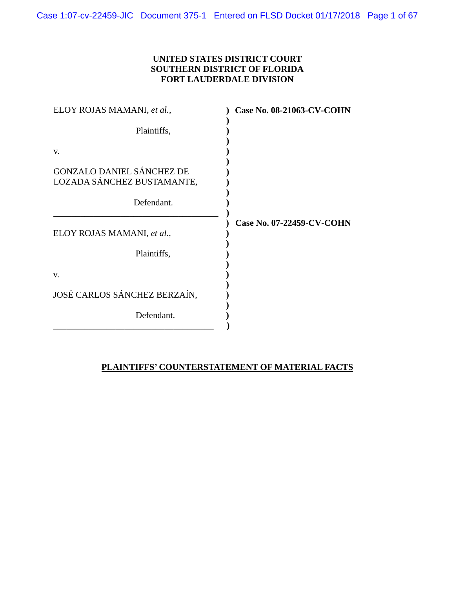# **UNITED STATES DISTRICT COURT SOUTHERN DISTRICT OF FLORIDA FORT LAUDERDALE DIVISION**

| <b>Case No. 08-21063-CV-COHN</b> |
|----------------------------------|
|                                  |
|                                  |
|                                  |
|                                  |
| Case No. 07-22459-CV-COHN        |
|                                  |
|                                  |
|                                  |
|                                  |
|                                  |

# **PLAINTIFFS' COUNTERSTATEMENT OF MATERIAL FACTS**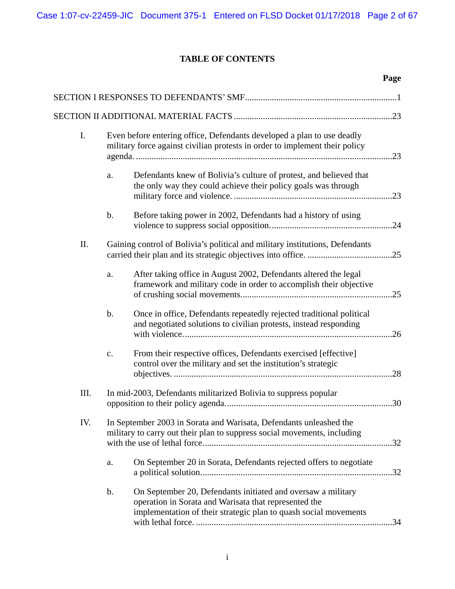# **TABLE OF CONTENTS**

|      |                                                                                                                                                       |                                                                                                                                                                                           | Page |
|------|-------------------------------------------------------------------------------------------------------------------------------------------------------|-------------------------------------------------------------------------------------------------------------------------------------------------------------------------------------------|------|
|      |                                                                                                                                                       |                                                                                                                                                                                           |      |
|      |                                                                                                                                                       |                                                                                                                                                                                           |      |
| I.   | Even before entering office, Defendants developed a plan to use deadly<br>military force against civilian protests in order to implement their policy |                                                                                                                                                                                           |      |
|      | a.                                                                                                                                                    | Defendants knew of Bolivia's culture of protest, and believed that<br>the only way they could achieve their policy goals was through                                                      |      |
|      | $\mathbf b$ .                                                                                                                                         | Before taking power in 2002, Defendants had a history of using                                                                                                                            |      |
| II.  |                                                                                                                                                       | Gaining control of Bolivia's political and military institutions, Defendants                                                                                                              |      |
|      | a.                                                                                                                                                    | After taking office in August 2002, Defendants altered the legal<br>framework and military code in order to accomplish their objective                                                    |      |
|      | $b$ .                                                                                                                                                 | Once in office, Defendants repeatedly rejected traditional political<br>and negotiated solutions to civilian protests, instead responding                                                 | .26  |
|      | $\mathbf{c}$ .                                                                                                                                        | From their respective offices, Defendants exercised [effective]<br>control over the military and set the institution's strategic                                                          | .28  |
| III. |                                                                                                                                                       | In mid-2003, Defendants militarized Bolivia to suppress popular                                                                                                                           | .30  |
| IV.  |                                                                                                                                                       | In September 2003 in Sorata and Warisata, Defendants unleashed the<br>military to carry out their plan to suppress social movements, including                                            |      |
|      | a.                                                                                                                                                    | On September 20 in Sorata, Defendants rejected offers to negotiate                                                                                                                        |      |
|      | $\mathbf b$ .                                                                                                                                         | On September 20, Defendants initiated and oversaw a military<br>operation in Sorata and Warisata that represented the<br>implementation of their strategic plan to quash social movements |      |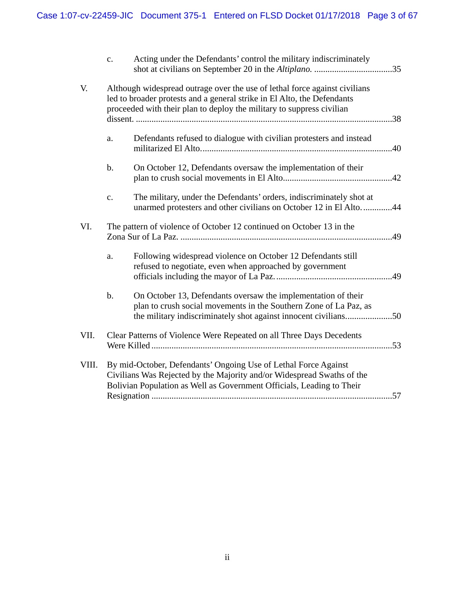|       | $\mathbf{c}$ .                                                                                                                                                                                                     | Acting under the Defendants' control the military indiscriminately                                                                                                                                                             |  |
|-------|--------------------------------------------------------------------------------------------------------------------------------------------------------------------------------------------------------------------|--------------------------------------------------------------------------------------------------------------------------------------------------------------------------------------------------------------------------------|--|
| V.    |                                                                                                                                                                                                                    | Although widespread outrage over the use of lethal force against civilians<br>led to broader protests and a general strike in El Alto, the Defendants<br>proceeded with their plan to deploy the military to suppress civilian |  |
|       | a.                                                                                                                                                                                                                 | Defendants refused to dialogue with civilian protesters and instead                                                                                                                                                            |  |
|       | $b$ .                                                                                                                                                                                                              | On October 12, Defendants oversaw the implementation of their                                                                                                                                                                  |  |
|       | $\mathbf{c}$ .                                                                                                                                                                                                     | The military, under the Defendants' orders, indiscriminately shot at<br>unarmed protesters and other civilians on October 12 in El Alto44                                                                                      |  |
| VI.   |                                                                                                                                                                                                                    | The pattern of violence of October 12 continued on October 13 in the                                                                                                                                                           |  |
|       | a.                                                                                                                                                                                                                 | Following widespread violence on October 12 Defendants still<br>refused to negotiate, even when approached by government                                                                                                       |  |
|       | $\mathbf b$ .                                                                                                                                                                                                      | On October 13, Defendants oversaw the implementation of their<br>plan to crush social movements in the Southern Zone of La Paz, as                                                                                             |  |
| VII.  | Clear Patterns of Violence Were Repeated on all Three Days Decedents                                                                                                                                               |                                                                                                                                                                                                                                |  |
| VIII. | By mid-October, Defendants' Ongoing Use of Lethal Force Against<br>Civilians Was Rejected by the Majority and/or Widespread Swaths of the<br>Bolivian Population as Well as Government Officials, Leading to Their |                                                                                                                                                                                                                                |  |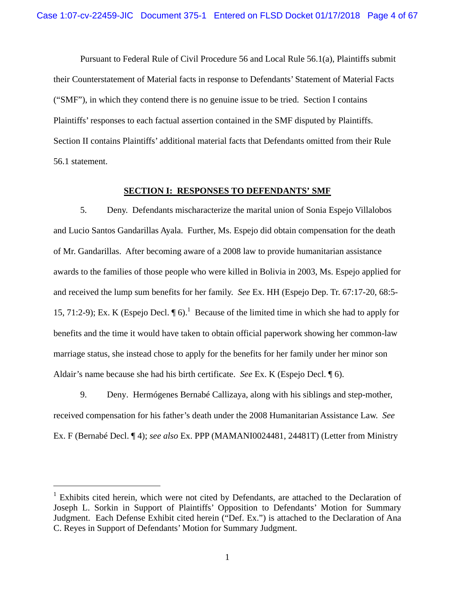Pursuant to Federal Rule of Civil Procedure 56 and Local Rule 56.1(a), Plaintiffs submit their Counterstatement of Material facts in response to Defendants' Statement of Material Facts ("SMF"), in which they contend there is no genuine issue to be tried. Section I contains Plaintiffs' responses to each factual assertion contained in the SMF disputed by Plaintiffs. Section II contains Plaintiffs' additional material facts that Defendants omitted from their Rule 56.1 statement.

#### **SECTION I: RESPONSES TO DEFENDANTS' SMF**

5. Deny. Defendants mischaracterize the marital union of Sonia Espejo Villalobos and Lucio Santos Gandarillas Ayala. Further, Ms. Espejo did obtain compensation for the death of Mr. Gandarillas. After becoming aware of a 2008 law to provide humanitarian assistance awards to the families of those people who were killed in Bolivia in 2003, Ms. Espejo applied for and received the lump sum benefits for her family. *See* Ex. HH (Espejo Dep. Tr. 67:17-20, 68:5- 15, 71:2-9); Ex. K (Espejo Decl.  $\P 6$ ).<sup>1</sup> Because of the limited time in which she had to apply for benefits and the time it would have taken to obtain official paperwork showing her common-law marriage status, she instead chose to apply for the benefits for her family under her minor son Aldair's name because she had his birth certificate. *See* Ex. K (Espejo Decl. ¶ 6).

9. Deny. Hermógenes Bernabé Callizaya, along with his siblings and step-mother, received compensation for his father's death under the 2008 Humanitarian Assistance Law. *See* Ex. F (Bernabé Decl. ¶ 4); *see also* Ex. PPP (MAMANI0024481, 24481T) (Letter from Ministry

<sup>&</sup>lt;sup>1</sup> Exhibits cited herein, which were not cited by Defendants, are attached to the Declaration of Joseph L. Sorkin in Support of Plaintiffs' Opposition to Defendants' Motion for Summary Judgment. Each Defense Exhibit cited herein ("Def. Ex.") is attached to the Declaration of Ana C. Reyes in Support of Defendants' Motion for Summary Judgment.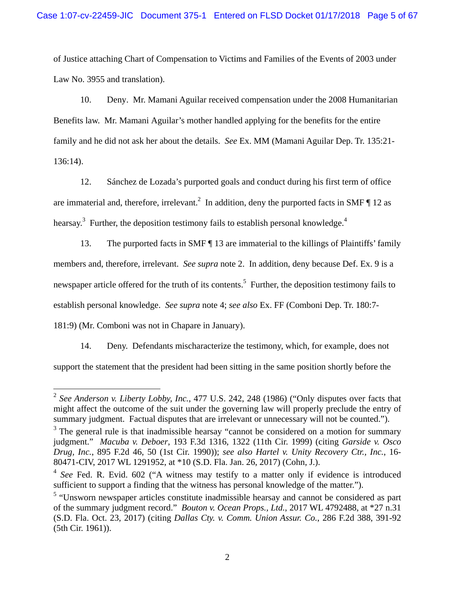of Justice attaching Chart of Compensation to Victims and Families of the Events of 2003 under Law No. 3955 and translation).

10. Deny. Mr. Mamani Aguilar received compensation under the 2008 Humanitarian Benefits law. Mr. Mamani Aguilar's mother handled applying for the benefits for the entire family and he did not ask her about the details. *See* Ex. MM (Mamani Aguilar Dep. Tr. 135:21- 136:14).

12. Sánchez de Lozada's purported goals and conduct during his first term of office are immaterial and, therefore, irrelevant.<sup>2</sup> In addition, deny the purported facts in SMF  $\P$  12 as hearsay.<sup>3</sup> Further, the deposition testimony fails to establish personal knowledge.<sup>4</sup>

13. The purported facts in SMF ¶ 13 are immaterial to the killings of Plaintiffs' family members and, therefore, irrelevant. *See supra* note 2. In addition, deny because Def. Ex. 9 is a newspaper article offered for the truth of its contents.<sup>5</sup> Further, the deposition testimony fails to establish personal knowledge. *See supra* note 4; *see also* Ex. FF (Comboni Dep. Tr. 180:7- 181:9) (Mr. Comboni was not in Chapare in January).

14. Deny. Defendants mischaracterize the testimony, which, for example, does not support the statement that the president had been sitting in the same position shortly before the

 $\overline{a}$ 

<sup>2</sup> *See Anderson v. Liberty Lobby, Inc.*, 477 U.S. 242, 248 (1986) ("Only disputes over facts that might affect the outcome of the suit under the governing law will properly preclude the entry of summary judgment. Factual disputes that are irrelevant or unnecessary will not be counted.").

 $3$  The general rule is that inadmissible hearsay "cannot be considered on a motion for summary judgment." *Macuba v. Deboer*, 193 F.3d 1316, 1322 (11th Cir. 1999) (citing *Garside v. Osco Drug, Inc.*, 895 F.2d 46, 50 (1st Cir. 1990)); *see also Hartel v. Unity Recovery Ctr., Inc.*, 16- 80471-CIV, 2017 WL 1291952, at \*10 (S.D. Fla. Jan. 26, 2017) (Cohn, J.).

<sup>&</sup>lt;sup>4</sup> *See* Fed. R. Evid. 602 ("A witness may testify to a matter only if evidence is introduced sufficient to support a finding that the witness has personal knowledge of the matter.").

<sup>&</sup>lt;sup>5</sup> "Unsworn newspaper articles constitute inadmissible hearsay and cannot be considered as part of the summary judgment record." *Bouton v. Ocean Props., Ltd.*, 2017 WL 4792488, at \*27 n.31 (S.D. Fla. Oct. 23, 2017) (citing *Dallas Cty. v. Comm. Union Assur. Co.*, 286 F.2d 388, 391-92 (5th Cir. 1961)).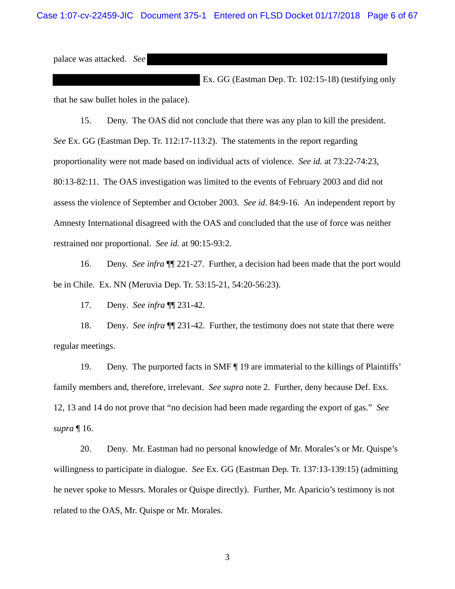Case 1:07-cv-22459-JIC Document 375-1 Entered on FLSD Docket 01/17/2018 Page 6 of 67

palace was attacked. *See* 

 Ex. GG (Eastman Dep. Tr. 102:15-18) (testifying only that he saw bullet holes in the palace).

15. Deny. The OAS did not conclude that there was any plan to kill the president. *See* Ex. GG (Eastman Dep. Tr. 112:17-113:2). The statements in the report regarding proportionality were not made based on individual acts of violence. *See id.* at 73:22-74:23, 80:13-82:11. The OAS investigation was limited to the events of February 2003 and did not assess the violence of September and October 2003. *See id*. 84:9-16. An independent report by Amnesty International disagreed with the OAS and concluded that the use of force was neither restrained nor proportional. *See id.* at 90:15-93:2.

16. Deny. *See infra* ¶¶ 221-27. Further, a decision had been made that the port would be in Chile. Ex. NN (Meruvia Dep. Tr. 53:15-21, 54:20-56:23).

17. Deny. *See infra* ¶¶ 231-42.

18. Deny. *See infra* ¶¶ 231-42. Further, the testimony does not state that there were regular meetings.

19. Deny. The purported facts in SMF ¶ 19 are immaterial to the killings of Plaintiffs' family members and, therefore, irrelevant. *See supra* note 2. Further, deny because Def. Exs. 12, 13 and 14 do not prove that "no decision had been made regarding the export of gas." *See supra* ¶ 16.

20. Deny. Mr. Eastman had no personal knowledge of Mr. Morales's or Mr. Quispe's willingness to participate in dialogue. *See* Ex. GG (Eastman Dep. Tr. 137:13-139:15) (admitting he never spoke to Messrs. Morales or Quispe directly). Further, Mr. Aparicio's testimony is not related to the OAS, Mr. Quispe or Mr. Morales.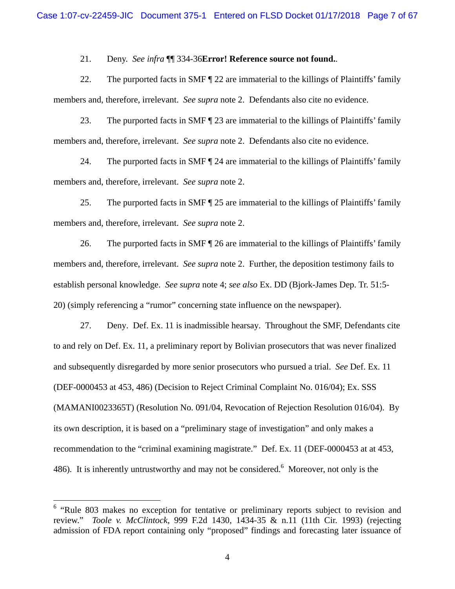21. Deny. *See infra* ¶¶ 334-36**Error! Reference source not found.**.

22. The purported facts in SMF ¶ 22 are immaterial to the killings of Plaintiffs' family members and, therefore, irrelevant. *See supra* note 2. Defendants also cite no evidence.

23. The purported facts in SMF  $\parallel$  23 are immaterial to the killings of Plaintiffs' family members and, therefore, irrelevant. *See supra* note 2. Defendants also cite no evidence.

24. The purported facts in SMF  $\P$  24 are immaterial to the killings of Plaintiffs' family members and, therefore, irrelevant. *See supra* note 2.

25. The purported facts in SMF ¶ 25 are immaterial to the killings of Plaintiffs' family members and, therefore, irrelevant. *See supra* note 2.

26. The purported facts in SMF | 26 are immaterial to the killings of Plaintiffs' family members and, therefore, irrelevant. *See supra* note 2. Further, the deposition testimony fails to establish personal knowledge. *See supra* note 4; *see also* Ex. DD (Bjork-James Dep. Tr. 51:5- 20) (simply referencing a "rumor" concerning state influence on the newspaper).

27. Deny. Def. Ex. 11 is inadmissible hearsay. Throughout the SMF, Defendants cite to and rely on Def. Ex. 11, a preliminary report by Bolivian prosecutors that was never finalized and subsequently disregarded by more senior prosecutors who pursued a trial. *See* Def. Ex. 11 (DEF-0000453 at 453, 486) (Decision to Reject Criminal Complaint No. 016/04); Ex. SSS (MAMANI0023365T) (Resolution No. 091/04, Revocation of Rejection Resolution 016/04). By its own description, it is based on a "preliminary stage of investigation" and only makes a recommendation to the "criminal examining magistrate." Def. Ex. 11 (DEF-0000453 at at 453, 486). It is inherently untrustworthy and may not be considered.<sup>6</sup> Moreover, not only is the

 $\overline{a}$ 

<sup>&</sup>lt;sup>6</sup> "Rule 803 makes no exception for tentative or preliminary reports subject to revision and review." *Toole v. McClintock*, 999 F.2d 1430, 1434-35 & n.11 (11th Cir. 1993) (rejecting admission of FDA report containing only "proposed" findings and forecasting later issuance of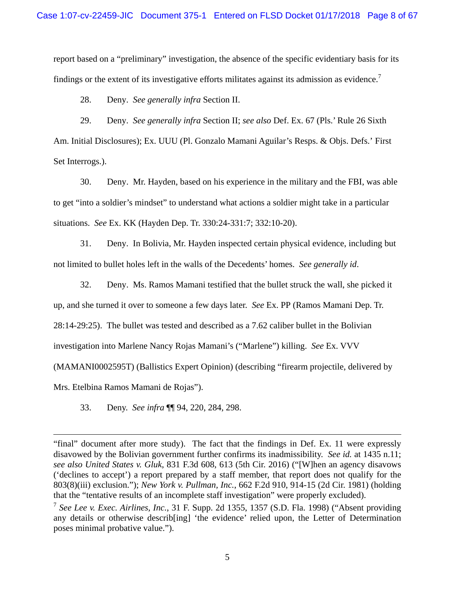report based on a "preliminary" investigation, the absence of the specific evidentiary basis for its findings or the extent of its investigative efforts militates against its admission as evidence.<sup>7</sup>

28. Deny. *See generally infra* Section II.

29. Deny. *See generally infra* Section II; *see also* Def. Ex. 67 (Pls.' Rule 26 Sixth Am. Initial Disclosures); Ex. UUU (Pl. Gonzalo Mamani Aguilar's Resps. & Objs. Defs.' First Set Interrogs.).

30. Deny. Mr. Hayden, based on his experience in the military and the FBI, was able to get "into a soldier's mindset" to understand what actions a soldier might take in a particular situations. *See* Ex. KK (Hayden Dep. Tr. 330:24-331:7; 332:10-20).

31. Deny. In Bolivia, Mr. Hayden inspected certain physical evidence, including but not limited to bullet holes left in the walls of the Decedents' homes. *See generally id*.

32. Deny. Ms. Ramos Mamani testified that the bullet struck the wall, she picked it up, and she turned it over to someone a few days later. *See* Ex. PP (Ramos Mamani Dep. Tr. 28:14-29:25). The bullet was tested and described as a 7.62 caliber bullet in the Bolivian investigation into Marlene Nancy Rojas Mamani's ("Marlene") killing. *See* Ex. VVV (MAMANI0002595T) (Ballistics Expert Opinion) (describing "firearm projectile, delivered by

Mrs. Etelbina Ramos Mamani de Rojas").

1

33. Deny. *See infra* ¶¶ 94, 220, 284, 298.

<sup>&</sup>quot;final" document after more study). The fact that the findings in Def. Ex. 11 were expressly disavowed by the Bolivian government further confirms its inadmissibility. *See id.* at 1435 n.11; *see also United States v. Gluk*, 831 F.3d 608, 613 (5th Cir. 2016) ("[W]hen an agency disavows ('declines to accept') a report prepared by a staff member, that report does not qualify for the 803(8)(iii) exclusion."); *New York v. Pullman, Inc.*, 662 F.2d 910, 914-15 (2d Cir. 1981) (holding that the "tentative results of an incomplete staff investigation" were properly excluded).

<sup>7</sup> *See Lee v. Exec. Airlines, Inc.*, 31 F. Supp. 2d 1355, 1357 (S.D. Fla. 1998) ("Absent providing any details or otherwise describ[ing] 'the evidence' relied upon, the Letter of Determination poses minimal probative value.").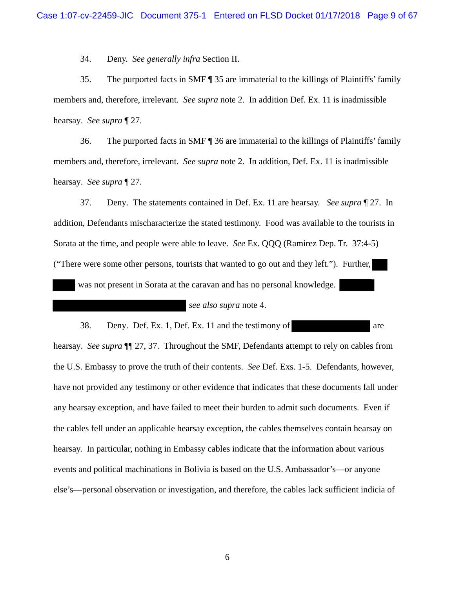34. Deny. *See generally infra* Section II.

35. The purported facts in SMF ¶ 35 are immaterial to the killings of Plaintiffs' family members and, therefore, irrelevant. *See supra* note 2. In addition Def. Ex. 11 is inadmissible hearsay. *See supra* ¶ 27.

36. The purported facts in SMF ¶ 36 are immaterial to the killings of Plaintiffs' family members and, therefore, irrelevant. *See supra* note 2. In addition, Def. Ex. 11 is inadmissible hearsay. *See supra* ¶ 27.

37. Deny. The statements contained in Def. Ex. 11 are hearsay. *See supra* ¶ 27. In addition, Defendants mischaracterize the stated testimony. Food was available to the tourists in Sorata at the time, and people were able to leave. *See* Ex. QQQ (Ramirez Dep. Tr. 37:4-5) ("There were some other persons, tourists that wanted to go out and they left."). Further,

was not present in Sorata at the caravan and has no personal knowledge.

*see also supra* note 4.

38. Deny. Def. Ex. 1, Def. Ex. 11 and the testimony of are hearsay. *See supra* ¶¶ 27, 37. Throughout the SMF, Defendants attempt to rely on cables from the U.S. Embassy to prove the truth of their contents. *See* Def. Exs. 1-5. Defendants, however, have not provided any testimony or other evidence that indicates that these documents fall under any hearsay exception, and have failed to meet their burden to admit such documents. Even if the cables fell under an applicable hearsay exception, the cables themselves contain hearsay on hearsay. In particular, nothing in Embassy cables indicate that the information about various events and political machinations in Bolivia is based on the U.S. Ambassador's—or anyone else's—personal observation or investigation, and therefore, the cables lack sufficient indicia of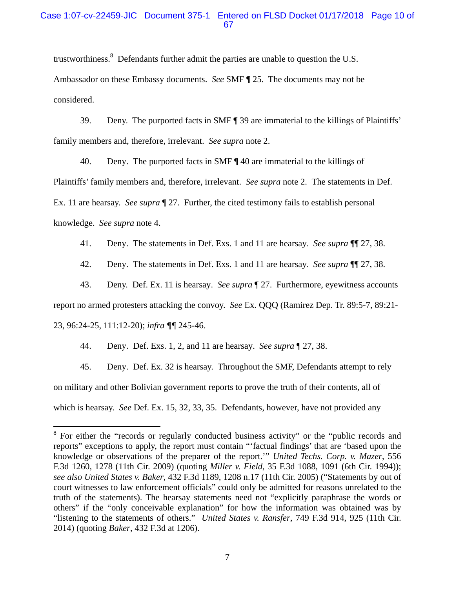### Case 1:07-cv-22459-JIC Document 375-1 Entered on FLSD Docket 01/17/2018 Page 10 of 67

trustworthiness.<sup>8</sup> Defendants further admit the parties are unable to question the U.S. Ambassador on these Embassy documents. *See* SMF ¶ 25. The documents may not be considered.

39. Deny. The purported facts in SMF ¶ 39 are immaterial to the killings of Plaintiffs' family members and, therefore, irrelevant. *See supra* note 2.

40. Deny. The purported facts in SMF  $\parallel$  40 are immaterial to the killings of Plaintiffs' family members and, therefore, irrelevant. *See supra* note 2. The statements in Def. Ex. 11 are hearsay. *See supra* ¶ 27. Further, the cited testimony fails to establish personal knowledge. *See supra* note 4.

41. Deny. The statements in Def. Exs. 1 and 11 are hearsay. *See supra* ¶¶ 27, 38.

42. Deny. The statements in Def. Exs. 1 and 11 are hearsay. *See supra* ¶¶ 27, 38.

43. Deny. Def. Ex. 11 is hearsay. *See supra* ¶ 27. Furthermore, eyewitness accounts report no armed protesters attacking the convoy. *See* Ex. QQQ (Ramirez Dep. Tr. 89:5-7, 89:21- 23, 96:24-25, 111:12-20); *infra ¶¶* 245-46.

44. Deny. Def. Exs. 1, 2, and 11 are hearsay. *See supra* ¶ 27, 38.

45. Deny. Def. Ex. 32 is hearsay. Throughout the SMF, Defendants attempt to rely on military and other Bolivian government reports to prove the truth of their contents, all of which is hearsay. *See* Def. Ex. 15, 32, 33, 35. Defendants, however, have not provided any

<sup>&</sup>lt;sup>8</sup> For either the "records or regularly conducted business activity" or the "public records and reports" exceptions to apply, the report must contain "'factual findings' that are 'based upon the knowledge or observations of the preparer of the report.'" *United Techs. Corp. v. Mazer*, 556 F.3d 1260, 1278 (11th Cir. 2009) (quoting *Miller v. Field*, 35 F.3d 1088, 1091 (6th Cir. 1994)); *see also United States v. Baker*, 432 F.3d 1189, 1208 n.17 (11th Cir. 2005) ("Statements by out of court witnesses to law enforcement officials" could only be admitted for reasons unrelated to the truth of the statements). The hearsay statements need not "explicitly paraphrase the words or others" if the "only conceivable explanation" for how the information was obtained was by "listening to the statements of others." *United States v. Ransfer*, 749 F.3d 914, 925 (11th Cir. 2014) (quoting *Baker*, 432 F.3d at 1206).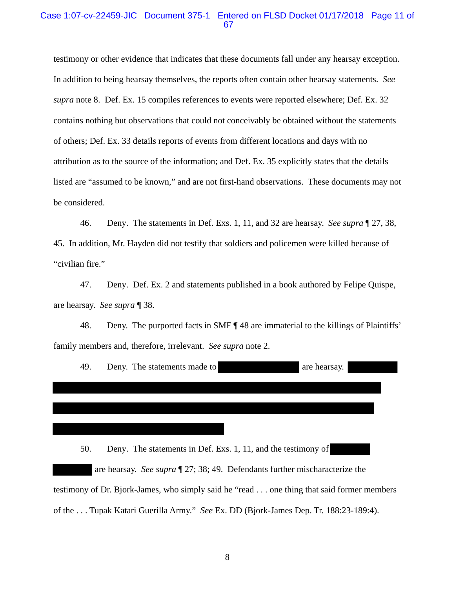#### Case 1:07-cv-22459-JIC Document 375-1 Entered on FLSD Docket 01/17/2018 Page 11 of 67

testimony or other evidence that indicates that these documents fall under any hearsay exception. In addition to being hearsay themselves, the reports often contain other hearsay statements. *See supra* note 8. Def. Ex. 15 compiles references to events were reported elsewhere; Def. Ex. 32 contains nothing but observations that could not conceivably be obtained without the statements of others; Def. Ex. 33 details reports of events from different locations and days with no attribution as to the source of the information; and Def. Ex. 35 explicitly states that the details listed are "assumed to be known," and are not first-hand observations. These documents may not be considered.

46. Deny. The statements in Def. Exs. 1, 11, and 32 are hearsay. *See supra* ¶ 27, 38, 45. In addition, Mr. Hayden did not testify that soldiers and policemen were killed because of "civilian fire."

47. Deny. Def. Ex. 2 and statements published in a book authored by Felipe Quispe, are hearsay. *See supra* ¶ 38.

48. Deny. The purported facts in SMF  $\P$  48 are immaterial to the killings of Plaintiffs' family members and, therefore, irrelevant. *See supra* note 2.

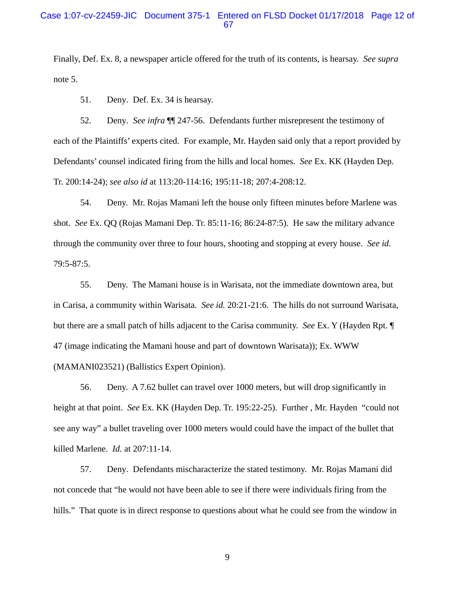### Case 1:07-cv-22459-JIC Document 375-1 Entered on FLSD Docket 01/17/2018 Page 12 of 67

Finally, Def. Ex. 8, a newspaper article offered for the truth of its contents, is hearsay. *See supra*  note 5.

51. Deny. Def. Ex. 34 is hearsay.

52. Deny. *See infra* ¶¶ 247-56. Defendants further misrepresent the testimony of each of the Plaintiffs' experts cited. For example, Mr. Hayden said only that a report provided by Defendants' counsel indicated firing from the hills and local homes. *See* Ex. KK (Hayden Dep. Tr. 200:14-24); *see also id* at 113:20-114:16; 195:11-18; 207:4-208:12.

54. Deny. Mr. Rojas Mamani left the house only fifteen minutes before Marlene was shot. *See* Ex. QQ (Rojas Mamani Dep. Tr. 85:11-16; 86:24-87:5). He saw the military advance through the community over three to four hours, shooting and stopping at every house. *See id.* 79:5-87:5.

55. Deny. The Mamani house is in Warisata, not the immediate downtown area, but in Carisa, a community within Warisata. *See id.* 20:21-21:6. The hills do not surround Warisata, but there are a small patch of hills adjacent to the Carisa community. *See* Ex. Y (Hayden Rpt. ¶ 47 (image indicating the Mamani house and part of downtown Warisata)); Ex. WWW (MAMANI023521) (Ballistics Expert Opinion).

56. Deny. A 7.62 bullet can travel over 1000 meters, but will drop significantly in height at that point. *See* Ex. KK (Hayden Dep. Tr. 195:22-25). Further , Mr. Hayden "could not see any way" a bullet traveling over 1000 meters would could have the impact of the bullet that killed Marlene. *Id.* at 207:11-14.

57. Deny. Defendants mischaracterize the stated testimony. Mr. Rojas Mamani did not concede that "he would not have been able to see if there were individuals firing from the hills." That quote is in direct response to questions about what he could see from the window in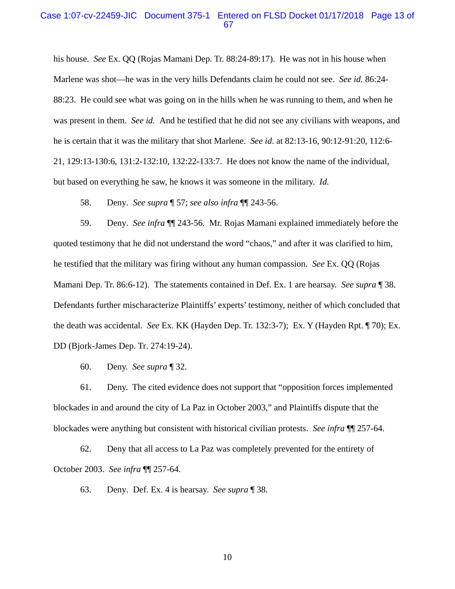#### Case 1:07-cv-22459-JIC Document 375-1 Entered on FLSD Docket 01/17/2018 Page 13 of 67

his house. *See* Ex. QQ (Rojas Mamani Dep. Tr. 88:24-89:17). He was not in his house when Marlene was shot—he was in the very hills Defendants claim he could not see. *See id.* 86:24- 88:23. He could see what was going on in the hills when he was running to them, and when he was present in them. *See id.* And he testified that he did not see any civilians with weapons, and he is certain that it was the military that shot Marlene. *See id*. at 82:13-16, 90:12-91:20, 112:6- 21, 129:13-130:6, 131:2-132:10, 132:22-133:7. He does not know the name of the individual, but based on everything he saw, he knows it was someone in the military. *Id.*

58. Deny. *See supra* ¶ 57; *see also infra* ¶¶ 243-56.

59. Deny. *See infra* ¶¶ 243-56*.* Mr. Rojas Mamani explained immediately before the quoted testimony that he did not understand the word "chaos," and after it was clarified to him, he testified that the military was firing without any human compassion. *See* Ex. QQ (Rojas Mamani Dep. Tr. 86:6-12). The statements contained in Def. Ex. 1 are hearsay. *See supra* ¶ 38. Defendants further mischaracterize Plaintiffs' experts' testimony, neither of which concluded that the death was accidental. *See* Ex. KK (Hayden Dep. Tr. 132:3-7); Ex. Y (Hayden Rpt. ¶ 70); Ex. DD (Bjork-James Dep. Tr. 274:19-24).

60. Deny. *See supra* ¶ 32.

61. Deny. The cited evidence does not support that "opposition forces implemented blockades in and around the city of La Paz in October 2003," and Plaintiffs dispute that the blockades were anything but consistent with historical civilian protests. *See infra* ¶¶ 257-64.

62. Deny that all access to La Paz was completely prevented for the entirety of October 2003. *See infra* ¶¶ 257-64.

63. Deny. Def. Ex. 4 is hearsay. *See supra* ¶ 38.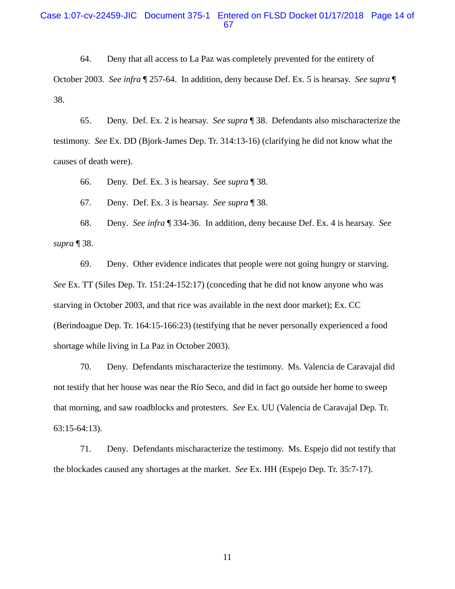#### Case 1:07-cv-22459-JIC Document 375-1 Entered on FLSD Docket 01/17/2018 Page 14 of 67

64. Deny that all access to La Paz was completely prevented for the entirety of October 2003. *See infra* ¶ 257-64. In addition, deny because Def. Ex. 5 is hearsay. *See supra* ¶ 38.

65. Deny. Def. Ex. 2 is hearsay. *See supra* ¶ 38. Defendants also mischaracterize the testimony. *See* Ex. DD (Bjork-James Dep. Tr. 314:13-16) (clarifying he did not know what the causes of death were).

66. Deny. Def. Ex. 3 is hearsay. *See supra* ¶ 38.

67. Deny. Def. Ex. 3 is hearsay. *See supra* ¶ 38.

68. Deny. *See infra* ¶ 334-36. In addition, deny because Def. Ex. 4 is hearsay. *See supra* ¶ 38.

69. Deny. Other evidence indicates that people were not going hungry or starving. *See* Ex. TT (Siles Dep. Tr. 151:24-152:17) (conceding that he did not know anyone who was starving in October 2003, and that rice was available in the next door market); Ex. CC (Berindoague Dep. Tr. 164:15-166:23) (testifying that he never personally experienced a food shortage while living in La Paz in October 2003).

70. Deny. Defendants mischaracterize the testimony. Ms. Valencia de Caravajal did not testify that her house was near the Río Seco, and did in fact go outside her home to sweep that morning, and saw roadblocks and protesters. *See* Ex. UU (Valencia de Caravajal Dep. Tr. 63:15-64:13).

71. Deny. Defendants mischaracterize the testimony. Ms. Espejo did not testify that the blockades caused any shortages at the market. *See* Ex. HH (Espejo Dep. Tr. 35:7-17).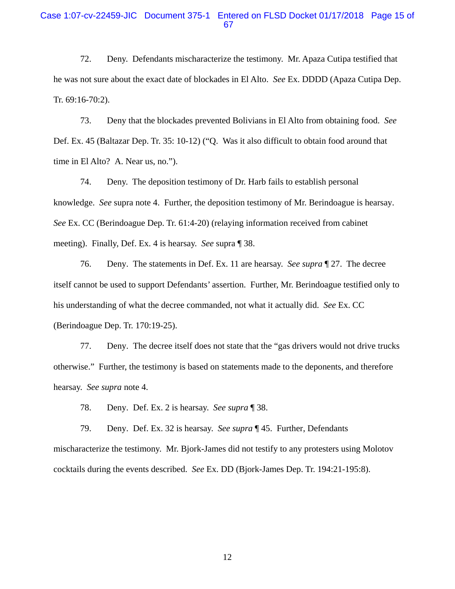#### Case 1:07-cv-22459-JIC Document 375-1 Entered on FLSD Docket 01/17/2018 Page 15 of 67

72. Deny. Defendants mischaracterize the testimony. Mr. Apaza Cutipa testified that he was not sure about the exact date of blockades in El Alto. *See* Ex. DDDD (Apaza Cutipa Dep. Tr. 69:16-70:2).

73. Deny that the blockades prevented Bolivians in El Alto from obtaining food. *See*  Def. Ex. 45 (Baltazar Dep. Tr. 35: 10-12) ("Q. Was it also difficult to obtain food around that time in El Alto? A. Near us, no.").

74. Deny. The deposition testimony of Dr. Harb fails to establish personal knowledge. *See* supra note 4. Further, the deposition testimony of Mr. Berindoague is hearsay. *See* Ex. CC (Berindoague Dep. Tr. 61:4-20) (relaying information received from cabinet meeting). Finally, Def. Ex. 4 is hearsay. *See* supra ¶ 38.

76. Deny. The statements in Def. Ex. 11 are hearsay. *See supra* ¶ 27. The decree itself cannot be used to support Defendants' assertion. Further, Mr. Berindoague testified only to his understanding of what the decree commanded, not what it actually did. *See* Ex. CC (Berindoague Dep. Tr. 170:19-25).

77. Deny. The decree itself does not state that the "gas drivers would not drive trucks otherwise." Further, the testimony is based on statements made to the deponents, and therefore hearsay. *See supra* note 4.

78. Deny. Def. Ex. 2 is hearsay. *See supra* ¶ 38.

79. Deny. Def. Ex. 32 is hearsay. *See supra* ¶ 45. Further, Defendants mischaracterize the testimony. Mr. Bjork-James did not testify to any protesters using Molotov cocktails during the events described. *See* Ex. DD (Bjork-James Dep. Tr. 194:21-195:8).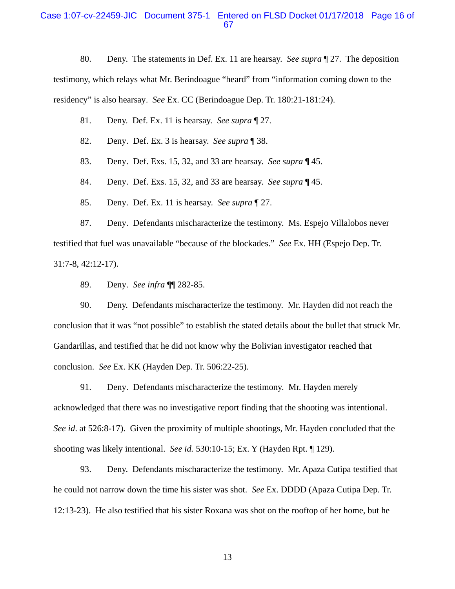#### Case 1:07-cv-22459-JIC Document 375-1 Entered on FLSD Docket 01/17/2018 Page 16 of 67

80. Deny. The statements in Def. Ex. 11 are hearsay. *See supra* ¶ 27. The deposition testimony, which relays what Mr. Berindoague "heard" from "information coming down to the residency" is also hearsay. *See* Ex. CC (Berindoague Dep. Tr. 180:21-181:24).

- 81. Deny. Def. Ex. 11 is hearsay. *See supra* ¶ 27.
- 82. Deny. Def. Ex. 3 is hearsay. *See supra* ¶ 38.
- 83. Deny. Def. Exs. 15, 32, and 33 are hearsay. *See supra* ¶ 45.
- 84. Deny. Def. Exs. 15, 32, and 33 are hearsay. *See supra* ¶ 45.
- 85. Deny. Def. Ex. 11 is hearsay. *See supra* ¶ 27.

87. Deny. Defendants mischaracterize the testimony. Ms. Espejo Villalobos never testified that fuel was unavailable "because of the blockades." *See* Ex. HH (Espejo Dep. Tr. 31:7-8, 42:12-17).

89. Deny. *See infra* ¶¶ 282-85.

90. Deny. Defendants mischaracterize the testimony. Mr. Hayden did not reach the conclusion that it was "not possible" to establish the stated details about the bullet that struck Mr. Gandarillas, and testified that he did not know why the Bolivian investigator reached that conclusion. *See* Ex. KK (Hayden Dep. Tr. 506:22-25).

91. Deny. Defendants mischaracterize the testimony. Mr. Hayden merely acknowledged that there was no investigative report finding that the shooting was intentional. *See id*. at 526:8-17). Given the proximity of multiple shootings, Mr. Hayden concluded that the shooting was likely intentional. *See id.* 530:10-15; Ex. Y (Hayden Rpt. ¶ 129).

93. Deny. Defendants mischaracterize the testimony. Mr. Apaza Cutipa testified that he could not narrow down the time his sister was shot. *See* Ex. DDDD (Apaza Cutipa Dep. Tr. 12:13-23). He also testified that his sister Roxana was shot on the rooftop of her home, but he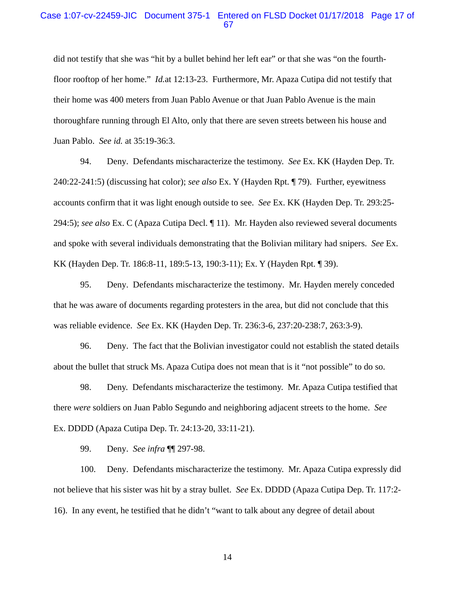#### Case 1:07-cv-22459-JIC Document 375-1 Entered on FLSD Docket 01/17/2018 Page 17 of 67

did not testify that she was "hit by a bullet behind her left ear" or that she was "on the fourthfloor rooftop of her home." *Id.*at 12:13-23. Furthermore, Mr. Apaza Cutipa did not testify that their home was 400 meters from Juan Pablo Avenue or that Juan Pablo Avenue is the main thoroughfare running through El Alto, only that there are seven streets between his house and Juan Pablo. *See id.* at 35:19-36:3.

94. Deny. Defendants mischaracterize the testimony. *See* Ex. KK (Hayden Dep. Tr. 240:22-241:5) (discussing hat color); *see also* Ex. Y (Hayden Rpt. ¶ 79). Further, eyewitness accounts confirm that it was light enough outside to see. *See* Ex. KK (Hayden Dep. Tr. 293:25- 294:5); *see also* Ex. C (Apaza Cutipa Decl. ¶ 11). Mr. Hayden also reviewed several documents and spoke with several individuals demonstrating that the Bolivian military had snipers. *See* Ex. KK (Hayden Dep. Tr. 186:8-11, 189:5-13, 190:3-11); Ex. Y (Hayden Rpt. ¶ 39).

95. Deny. Defendants mischaracterize the testimony. Mr. Hayden merely conceded that he was aware of documents regarding protesters in the area, but did not conclude that this was reliable evidence. *See* Ex. KK (Hayden Dep. Tr. 236:3-6, 237:20-238:7, 263:3-9).

96. Deny. The fact that the Bolivian investigator could not establish the stated details about the bullet that struck Ms. Apaza Cutipa does not mean that is it "not possible" to do so.

98. Deny. Defendants mischaracterize the testimony. Mr. Apaza Cutipa testified that there *were* soldiers on Juan Pablo Segundo and neighboring adjacent streets to the home. *See* Ex. DDDD (Apaza Cutipa Dep. Tr. 24:13-20, 33:11-21).

99. Deny. *See infra* ¶¶ 297-98.

100. Deny. Defendants mischaracterize the testimony. Mr. Apaza Cutipa expressly did not believe that his sister was hit by a stray bullet. *See* Ex. DDDD (Apaza Cutipa Dep. Tr. 117:2- 16). In any event, he testified that he didn't "want to talk about any degree of detail about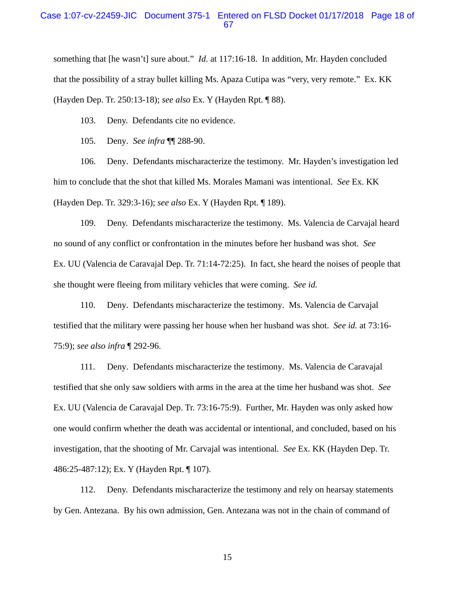#### Case 1:07-cv-22459-JIC Document 375-1 Entered on FLSD Docket 01/17/2018 Page 18 of 67

something that [he wasn't] sure about." *Id*. at 117:16-18. In addition, Mr. Hayden concluded that the possibility of a stray bullet killing Ms. Apaza Cutipa was "very, very remote." Ex. KK (Hayden Dep. Tr. 250:13-18); *see also* Ex. Y (Hayden Rpt. ¶ 88).

103. Deny. Defendants cite no evidence.

105. Deny. *See infra* ¶¶ 288-90.

106. Deny. Defendants mischaracterize the testimony. Mr. Hayden's investigation led him to conclude that the shot that killed Ms. Morales Mamani was intentional. *See* Ex. KK (Hayden Dep. Tr. 329:3-16); *see also* Ex. Y (Hayden Rpt. ¶ 189).

109. Deny. Defendants mischaracterize the testimony. Ms. Valencia de Carvajal heard no sound of any conflict or confrontation in the minutes before her husband was shot. *See*  Ex. UU (Valencia de Caravajal Dep. Tr. 71:14-72:25). In fact, she heard the noises of people that she thought were fleeing from military vehicles that were coming. *See id.*

110. Deny. Defendants mischaracterize the testimony. Ms. Valencia de Carvajal testified that the military were passing her house when her husband was shot. *See id.* at 73:16- 75:9); *see also infra* ¶ 292-96.

111. Deny. Defendants mischaracterize the testimony. Ms. Valencia de Caravajal testified that she only saw soldiers with arms in the area at the time her husband was shot. *See*  Ex. UU (Valencia de Caravajal Dep. Tr. 73:16-75:9). Further, Mr. Hayden was only asked how one would confirm whether the death was accidental or intentional, and concluded, based on his investigation, that the shooting of Mr. Carvajal was intentional. *See* Ex. KK (Hayden Dep. Tr. 486:25-487:12); Ex. Y (Hayden Rpt. ¶ 107).

112. Deny. Defendants mischaracterize the testimony and rely on hearsay statements by Gen. Antezana. By his own admission, Gen. Antezana was not in the chain of command of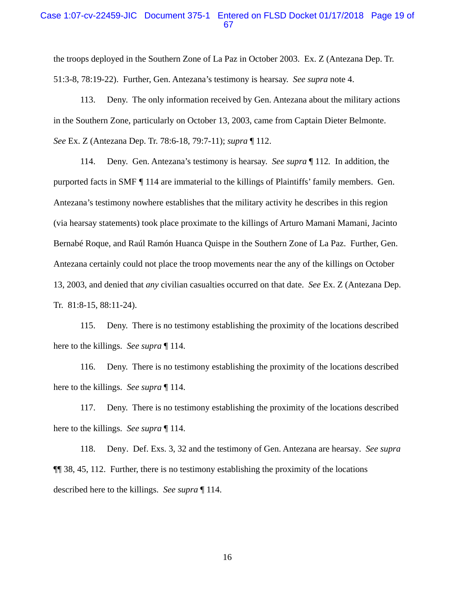#### Case 1:07-cv-22459-JIC Document 375-1 Entered on FLSD Docket 01/17/2018 Page 19 of 67

the troops deployed in the Southern Zone of La Paz in October 2003. Ex. Z (Antezana Dep. Tr. 51:3-8, 78:19-22). Further, Gen. Antezana's testimony is hearsay. *See supra* note 4.

113. Deny. The only information received by Gen. Antezana about the military actions in the Southern Zone, particularly on October 13, 2003, came from Captain Dieter Belmonte. *See* Ex. Z (Antezana Dep. Tr. 78:6-18, 79:7-11); *supra* ¶ 112.

114. Deny. Gen. Antezana's testimony is hearsay. *See supra* ¶ 112*.* In addition, the purported facts in SMF *¶* 114 are immaterial to the killings of Plaintiffs' family members. Gen. Antezana's testimony nowhere establishes that the military activity he describes in this region (via hearsay statements) took place proximate to the killings of Arturo Mamani Mamani, Jacinto Bernabé Roque, and Raúl Ramón Huanca Quispe in the Southern Zone of La Paz. Further, Gen. Antezana certainly could not place the troop movements near the any of the killings on October 13, 2003, and denied that *any* civilian casualties occurred on that date. *See* Ex. Z (Antezana Dep. Tr. 81:8-15, 88:11-24).

115. Deny. There is no testimony establishing the proximity of the locations described here to the killings. *See supra* ¶ 114.

116. Deny. There is no testimony establishing the proximity of the locations described here to the killings. *See supra* ¶ 114.

117. Deny. There is no testimony establishing the proximity of the locations described here to the killings. *See supra* ¶ 114.

118. Deny. Def. Exs. 3, 32 and the testimony of Gen. Antezana are hearsay. *See supra* ¶¶ 38, 45, 112. Further, there is no testimony establishing the proximity of the locations described here to the killings. *See supra* ¶ 114.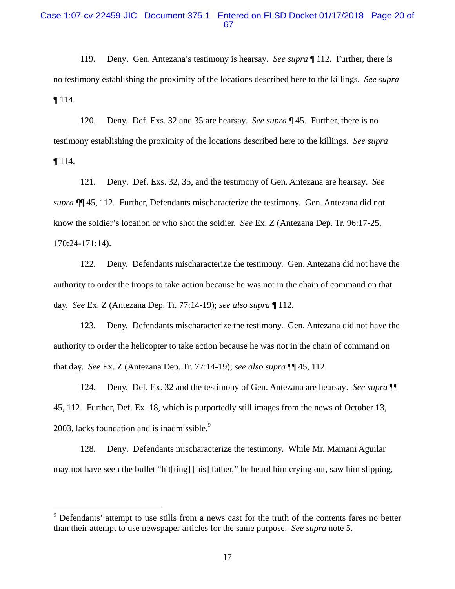### Case 1:07-cv-22459-JIC Document 375-1 Entered on FLSD Docket 01/17/2018 Page 20 of 67

119. Deny. Gen. Antezana's testimony is hearsay. *See supra* ¶ 112. Further, there is no testimony establishing the proximity of the locations described here to the killings. *See supra* ¶ 114.

120. Deny. Def. Exs. 32 and 35 are hearsay. *See supra* ¶ 45. Further, there is no testimony establishing the proximity of the locations described here to the killings. *See supra* ¶ 114.

121. Deny. Def. Exs. 32, 35, and the testimony of Gen. Antezana are hearsay. *See supra* ¶¶ 45, 112. Further, Defendants mischaracterize the testimony. Gen. Antezana did not know the soldier's location or who shot the soldier. *See* Ex. Z (Antezana Dep. Tr. 96:17-25, 170:24-171:14).

122. Deny. Defendants mischaracterize the testimony. Gen. Antezana did not have the authority to order the troops to take action because he was not in the chain of command on that day. *See* Ex. Z (Antezana Dep. Tr. 77:14-19); *see also supra* ¶ 112.

123. Deny. Defendants mischaracterize the testimony. Gen. Antezana did not have the authority to order the helicopter to take action because he was not in the chain of command on that day. *See* Ex. Z (Antezana Dep. Tr. 77:14-19); *see also supra* ¶¶ 45, 112.

124. Deny. Def. Ex. 32 and the testimony of Gen. Antezana are hearsay. *See supra* ¶¶ 45, 112. Further, Def. Ex. 18, which is purportedly still images from the news of October 13, 2003, lacks foundation and is inadmissible.<sup>9</sup>

128. Deny. Defendants mischaracterize the testimony. While Mr. Mamani Aguilar may not have seen the bullet "hit[ting] [his] father," he heard him crying out, saw him slipping,

 $\overline{a}$ 

<sup>&</sup>lt;sup>9</sup> Defendants' attempt to use stills from a news cast for the truth of the contents fares no better than their attempt to use newspaper articles for the same purpose. *See supra* note 5.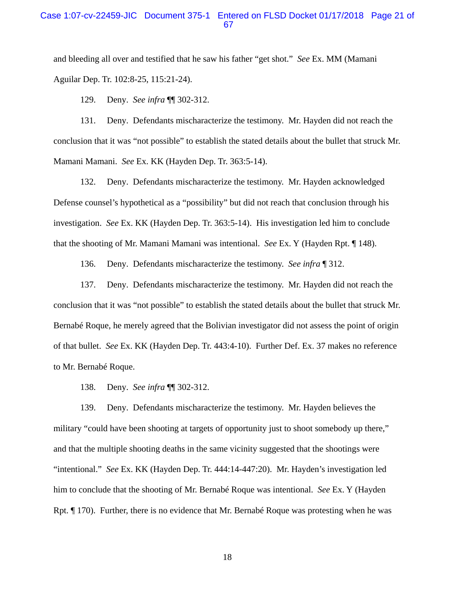### Case 1:07-cv-22459-JIC Document 375-1 Entered on FLSD Docket 01/17/2018 Page 21 of 67

and bleeding all over and testified that he saw his father "get shot." *See* Ex. MM (Mamani Aguilar Dep. Tr. 102:8-25, 115:21-24).

129. Deny. *See infra* ¶¶ 302-312.

131. Deny. Defendants mischaracterize the testimony. Mr. Hayden did not reach the conclusion that it was "not possible" to establish the stated details about the bullet that struck Mr. Mamani Mamani. *See* Ex. KK (Hayden Dep. Tr. 363:5-14).

132. Deny. Defendants mischaracterize the testimony. Mr. Hayden acknowledged Defense counsel's hypothetical as a "possibility" but did not reach that conclusion through his investigation. *See* Ex. KK (Hayden Dep. Tr. 363:5-14). His investigation led him to conclude that the shooting of Mr. Mamani Mamani was intentional. *See* Ex. Y (Hayden Rpt. ¶ 148).

136. Deny. Defendants mischaracterize the testimony. *See infra* ¶ 312.

137. Deny. Defendants mischaracterize the testimony. Mr. Hayden did not reach the conclusion that it was "not possible" to establish the stated details about the bullet that struck Mr. Bernabé Roque, he merely agreed that the Bolivian investigator did not assess the point of origin of that bullet. *See* Ex. KK (Hayden Dep. Tr. 443:4-10). Further Def. Ex. 37 makes no reference to Mr. Bernabé Roque.

138. Deny. *See infra* ¶¶ 302-312.

139. Deny. Defendants mischaracterize the testimony. Mr. Hayden believes the military "could have been shooting at targets of opportunity just to shoot somebody up there," and that the multiple shooting deaths in the same vicinity suggested that the shootings were "intentional." *See* Ex. KK (Hayden Dep. Tr. 444:14-447:20). Mr. Hayden's investigation led him to conclude that the shooting of Mr. Bernabé Roque was intentional. *See* Ex. Y (Hayden Rpt. ¶ 170). Further, there is no evidence that Mr. Bernabé Roque was protesting when he was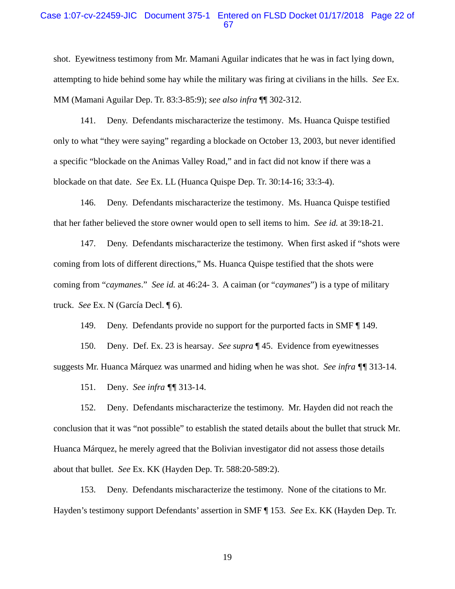#### Case 1:07-cv-22459-JIC Document 375-1 Entered on FLSD Docket 01/17/2018 Page 22 of 67

shot. Eyewitness testimony from Mr. Mamani Aguilar indicates that he was in fact lying down, attempting to hide behind some hay while the military was firing at civilians in the hills. *See* Ex. MM (Mamani Aguilar Dep. Tr. 83:3-85:9); *see also infra* ¶¶ 302-312.

141. Deny. Defendants mischaracterize the testimony. Ms. Huanca Quispe testified only to what "they were saying" regarding a blockade on October 13, 2003, but never identified a specific "blockade on the Animas Valley Road," and in fact did not know if there was a blockade on that date. *See* Ex. LL (Huanca Quispe Dep. Tr. 30:14-16; 33:3-4).

146. Deny. Defendants mischaracterize the testimony. Ms. Huanca Quispe testified that her father believed the store owner would open to sell items to him. *See id.* at 39:18-21.

147. Deny. Defendants mischaracterize the testimony. When first asked if "shots were coming from lots of different directions," Ms. Huanca Quispe testified that the shots were coming from "*caymanes*." *See id.* at 46:24- 3. A caiman (or "*caymanes*") is a type of military truck. *See* Ex. N (García Decl. ¶ 6).

149. Deny. Defendants provide no support for the purported facts in SMF ¶ 149.

150. Deny. Def. Ex. 23 is hearsay. *See supra* ¶ 45. Evidence from eyewitnesses suggests Mr. Huanca Márquez was unarmed and hiding when he was shot. *See infra ¶¶* 313-14.

151. Deny. *See infra ¶¶* 313-14.

152. Deny. Defendants mischaracterize the testimony. Mr. Hayden did not reach the conclusion that it was "not possible" to establish the stated details about the bullet that struck Mr. Huanca Márquez, he merely agreed that the Bolivian investigator did not assess those details about that bullet. *See* Ex. KK (Hayden Dep. Tr. 588:20-589:2).

153. Deny. Defendants mischaracterize the testimony. None of the citations to Mr. Hayden's testimony support Defendants' assertion in SMF ¶ 153. *See* Ex. KK (Hayden Dep. Tr.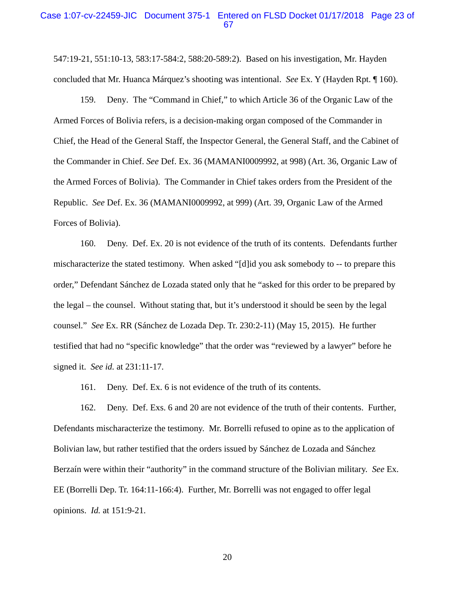#### Case 1:07-cv-22459-JIC Document 375-1 Entered on FLSD Docket 01/17/2018 Page 23 of 67

547:19-21, 551:10-13, 583:17-584:2, 588:20-589:2). Based on his investigation, Mr. Hayden concluded that Mr. Huanca Márquez's shooting was intentional. *See* Ex. Y (Hayden Rpt. ¶ 160).

159. Deny. The "Command in Chief," to which Article 36 of the Organic Law of the Armed Forces of Bolivia refers, is a decision-making organ composed of the Commander in Chief, the Head of the General Staff, the Inspector General, the General Staff, and the Cabinet of the Commander in Chief. *See* Def. Ex. 36 (MAMANI0009992, at 998) (Art. 36, Organic Law of the Armed Forces of Bolivia). The Commander in Chief takes orders from the President of the Republic. *See* Def. Ex. 36 (MAMANI0009992, at 999) (Art. 39, Organic Law of the Armed Forces of Bolivia).

160. Deny. Def. Ex. 20 is not evidence of the truth of its contents. Defendants further mischaracterize the stated testimony. When asked "[d]id you ask somebody to -- to prepare this order," Defendant Sánchez de Lozada stated only that he "asked for this order to be prepared by the legal – the counsel. Without stating that, but it's understood it should be seen by the legal counsel." *See* Ex. RR (Sánchez de Lozada Dep. Tr. 230:2-11) (May 15, 2015). He further testified that had no "specific knowledge" that the order was "reviewed by a lawyer" before he signed it. *See id.* at 231:11-17.

161. Deny. Def. Ex. 6 is not evidence of the truth of its contents.

162. Deny. Def. Exs. 6 and 20 are not evidence of the truth of their contents. Further, Defendants mischaracterize the testimony. Mr. Borrelli refused to opine as to the application of Bolivian law, but rather testified that the orders issued by Sánchez de Lozada and Sánchez Berzaín were within their "authority" in the command structure of the Bolivian military. *See* Ex. EE (Borrelli Dep. Tr. 164:11-166:4). Further, Mr. Borrelli was not engaged to offer legal opinions. *Id.* at 151:9-21.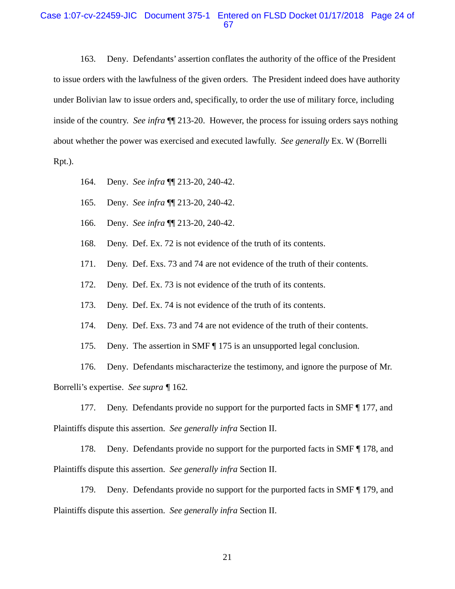#### Case 1:07-cv-22459-JIC Document 375-1 Entered on FLSD Docket 01/17/2018 Page 24 of 67

163. Deny. Defendants' assertion conflates the authority of the office of the President to issue orders with the lawfulness of the given orders. The President indeed does have authority under Bolivian law to issue orders and, specifically, to order the use of military force, including inside of the country. *See infra* ¶¶ 213-20. However, the process for issuing orders says nothing about whether the power was exercised and executed lawfully. *See generally* Ex. W (Borrelli Rpt.).

- 164. Deny. *See infra* ¶¶ 213-20, 240-42.
- 165. Deny. *See infra* ¶¶ 213-20, 240-42.
- 166. Deny. *See infra* ¶¶ 213-20, 240-42.

168. Deny. Def. Ex. 72 is not evidence of the truth of its contents.

171. Deny. Def. Exs. 73 and 74 are not evidence of the truth of their contents.

172. Deny. Def. Ex. 73 is not evidence of the truth of its contents.

173. Deny. Def. Ex. 74 is not evidence of the truth of its contents.

174. Deny. Def. Exs. 73 and 74 are not evidence of the truth of their contents.

175. Deny. The assertion in SMF ¶ 175 is an unsupported legal conclusion.

176. Deny. Defendants mischaracterize the testimony, and ignore the purpose of Mr. Borrelli's expertise. *See supra ¶* 162*.*

177. Deny. Defendants provide no support for the purported facts in SMF ¶ 177, and Plaintiffs dispute this assertion. *See generally infra* Section II.

178. Deny. Defendants provide no support for the purported facts in SMF  $\P$  178, and Plaintiffs dispute this assertion. *See generally infra* Section II.

179. Deny. Defendants provide no support for the purported facts in SMF ¶ 179, and Plaintiffs dispute this assertion. *See generally infra* Section II.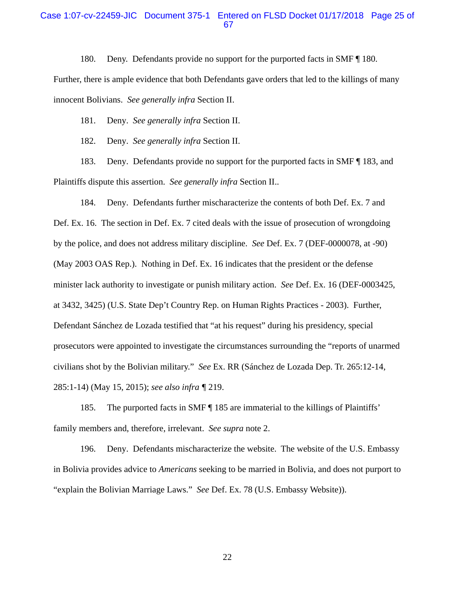#### Case 1:07-cv-22459-JIC Document 375-1 Entered on FLSD Docket 01/17/2018 Page 25 of 67

180. Deny. Defendants provide no support for the purported facts in SMF ¶ 180.

Further, there is ample evidence that both Defendants gave orders that led to the killings of many innocent Bolivians. *See generally infra* Section II.

181. Deny. *See generally infra* Section II.

182. Deny. *See generally infra* Section II.

183. Deny. Defendants provide no support for the purported facts in SMF ¶ 183, and Plaintiffs dispute this assertion. *See generally infra* Section II..

184. Deny. Defendants further mischaracterize the contents of both Def. Ex. 7 and Def. Ex. 16. The section in Def. Ex. 7 cited deals with the issue of prosecution of wrongdoing by the police, and does not address military discipline. *See* Def. Ex. 7 (DEF-0000078, at -90) (May 2003 OAS Rep.). Nothing in Def. Ex. 16 indicates that the president or the defense minister lack authority to investigate or punish military action. *See* Def. Ex. 16 (DEF-0003425, at 3432, 3425) (U.S. State Dep't Country Rep. on Human Rights Practices - 2003). Further, Defendant Sánchez de Lozada testified that "at his request" during his presidency, special prosecutors were appointed to investigate the circumstances surrounding the "reports of unarmed civilians shot by the Bolivian military." *See* Ex. RR (Sánchez de Lozada Dep. Tr. 265:12-14, 285:1-14) (May 15, 2015); *see also infra ¶* 219.

185. The purported facts in SMF ¶ 185 are immaterial to the killings of Plaintiffs' family members and, therefore, irrelevant. *See supra* note 2.

196. Deny. Defendants mischaracterize the website. The website of the U.S. Embassy in Bolivia provides advice to *Americans* seeking to be married in Bolivia, and does not purport to "explain the Bolivian Marriage Laws." *See* Def. Ex. 78 (U.S. Embassy Website)).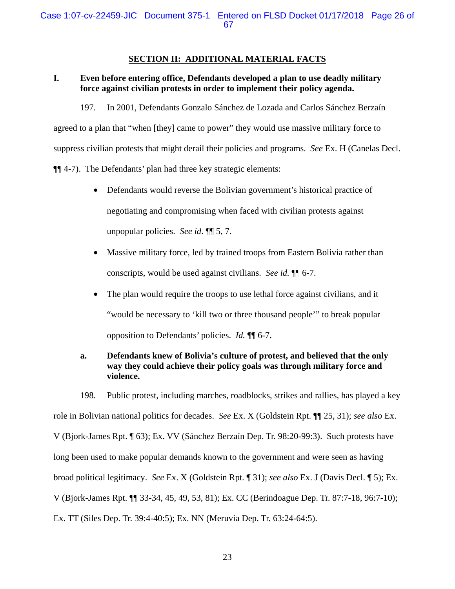### **SECTION II: ADDITIONAL MATERIAL FACTS**

# **I. Even before entering office, Defendants developed a plan to use deadly military force against civilian protests in order to implement their policy agenda.**

197. In 2001, Defendants Gonzalo Sánchez de Lozada and Carlos Sánchez Berzaín

agreed to a plan that "when [they] came to power" they would use massive military force to

suppress civilian protests that might derail their policies and programs. *See* Ex. H (Canelas Decl.

¶¶ 4-7). The Defendants' plan had three key strategic elements:

- Defendants would reverse the Bolivian government's historical practice of negotiating and compromising when faced with civilian protests against unpopular policies. *See id*. ¶¶ 5, 7.
- Massive military force, led by trained troops from Eastern Bolivia rather than conscripts, would be used against civilians. *See id.* ¶¶ 6-7.
- The plan would require the troops to use lethal force against civilians, and it "would be necessary to 'kill two or three thousand people'" to break popular opposition to Defendants' policies. *Id.* ¶¶ 6-7.

# **a. Defendants knew of Bolivia's culture of protest, and believed that the only way they could achieve their policy goals was through military force and violence.**

198. Public protest, including marches, roadblocks, strikes and rallies, has played a key role in Bolivian national politics for decades. *See* Ex. X (Goldstein Rpt. ¶¶ 25, 31); *see also* Ex. V (Bjork-James Rpt. ¶ 63); Ex. VV (Sánchez Berzaín Dep. Tr. 98:20-99:3). Such protests have long been used to make popular demands known to the government and were seen as having broad political legitimacy. *See* Ex. X (Goldstein Rpt. ¶ 31); *see also* Ex. J (Davis Decl. ¶ 5); Ex. V (Bjork-James Rpt. ¶¶ 33-34, 45, 49, 53, 81); Ex. CC (Berindoague Dep. Tr. 87:7-18, 96:7-10); Ex. TT (Siles Dep. Tr. 39:4-40:5); Ex. NN (Meruvia Dep. Tr. 63:24-64:5).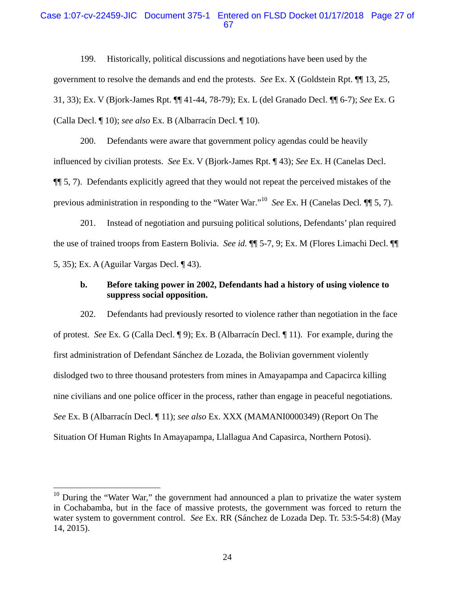### Case 1:07-cv-22459-JIC Document 375-1 Entered on FLSD Docket 01/17/2018 Page 27 of 67

199. Historically, political discussions and negotiations have been used by the government to resolve the demands and end the protests. *See* Ex. X (Goldstein Rpt. ¶¶ 13, 25, 31, 33); Ex. V (Bjork-James Rpt. ¶¶ 41-44, 78-79); Ex. L (del Granado Decl. ¶¶ 6-7); *See* Ex. G (Calla Decl. ¶ 10); *see also* Ex. B (Albarracín Decl. ¶ 10).

200. Defendants were aware that government policy agendas could be heavily influenced by civilian protests. *See* Ex. V (Bjork-James Rpt. ¶ 43); *See* Ex. H (Canelas Decl. ¶¶ 5, 7). Defendants explicitly agreed that they would not repeat the perceived mistakes of the previous administration in responding to the "Water War."10 *See* Ex. H (Canelas Decl*.* ¶¶ 5, 7).

201. Instead of negotiation and pursuing political solutions, Defendants' plan required the use of trained troops from Eastern Bolivia. *See id.* ¶¶ 5-7, 9; Ex. M (Flores Limachi Decl. ¶¶ 5, 35); Ex. A (Aguilar Vargas Decl. ¶ 43).

#### **b. Before taking power in 2002, Defendants had a history of using violence to suppress social opposition.**

202. Defendants had previously resorted to violence rather than negotiation in the face of protest. *See* Ex. G (Calla Decl. ¶ 9); Ex. B (Albarracín Decl. ¶ 11). For example, during the first administration of Defendant Sánchez de Lozada, the Bolivian government violently dislodged two to three thousand protesters from mines in Amayapampa and Capacirca killing nine civilians and one police officer in the process, rather than engage in peaceful negotiations. *See* Ex. B (Albarracín Decl. ¶ 11); *see also* Ex. XXX (MAMANI0000349) (Report On The Situation Of Human Rights In Amayapampa, Llallagua And Capasirca, Northern Potosi).

 $10$  During the "Water War," the government had announced a plan to privatize the water system in Cochabamba, but in the face of massive protests, the government was forced to return the water system to government control. *See* Ex. RR (Sánchez de Lozada Dep. Tr. 53:5-54:8) (May 14, 2015).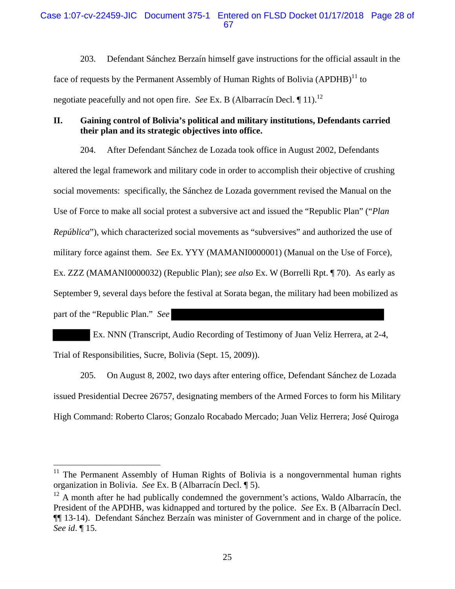203. Defendant Sánchez Berzaín himself gave instructions for the official assault in the face of requests by the Permanent Assembly of Human Rights of Bolivia  $(APDHB)^{11}$  to negotiate peacefully and not open fire. *See* Ex. B (Albarracín Decl. 11).<sup>12</sup>

# **II. Gaining control of Bolivia's political and military institutions, Defendants carried their plan and its strategic objectives into office.**

204. After Defendant Sánchez de Lozada took office in August 2002, Defendants altered the legal framework and military code in order to accomplish their objective of crushing social movements: specifically, the Sánchez de Lozada government revised the Manual on the Use of Force to make all social protest a subversive act and issued the "Republic Plan" ("*Plan República*"), which characterized social movements as "subversives" and authorized the use of military force against them. *See* Ex. YYY (MAMANI0000001) (Manual on the Use of Force), Ex. ZZZ (MAMANI0000032) (Republic Plan); *see also* Ex. W (Borrelli Rpt. ¶ 70). As early as September 9, several days before the festival at Sorata began, the military had been mobilized as part of the "Republic Plan." *See* 

 Ex. NNN (Transcript, Audio Recording of Testimony of Juan Veliz Herrera, at 2-4, Trial of Responsibilities, Sucre, Bolivia (Sept. 15, 2009)).

205. On August 8, 2002, two days after entering office, Defendant Sánchez de Lozada issued Presidential Decree 26757, designating members of the Armed Forces to form his Military High Command: Roberto Claros; Gonzalo Rocabado Mercado; Juan Veliz Herrera; José Quiroga

 $\overline{a}$ 

<sup>&</sup>lt;sup>11</sup> The Permanent Assembly of Human Rights of Bolivia is a nongovernmental human rights organization in Bolivia. *See* Ex. B (Albarracín Decl. ¶ 5).

 $12$  A month after he had publically condemned the government's actions, Waldo Albarracín, the President of the APDHB, was kidnapped and tortured by the police. *See* Ex. B (Albarracín Decl. ¶¶ 13-14). Defendant Sánchez Berzaín was minister of Government and in charge of the police. *See id*. ¶ 15.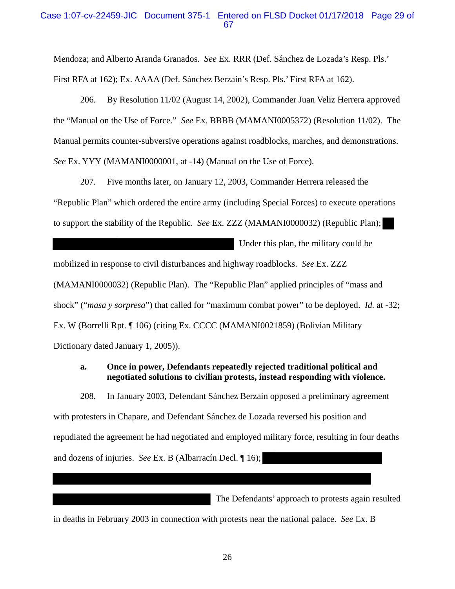### Case 1:07-cv-22459-JIC Document 375-1 Entered on FLSD Docket 01/17/2018 Page 29 of 67

Mendoza; and Alberto Aranda Granados. *See* Ex. RRR (Def. Sánchez de Lozada's Resp. Pls.' First RFA at 162); Ex. AAAA (Def. Sánchez Berzaín's Resp. Pls.' First RFA at 162).

206. By Resolution 11/02 (August 14, 2002), Commander Juan Veliz Herrera approved the "Manual on the Use of Force." *See* Ex. BBBB (MAMANI0005372) (Resolution 11/02). The Manual permits counter-subversive operations against roadblocks, marches, and demonstrations. *See* Ex. YYY (MAMANI0000001, at -14) (Manual on the Use of Force).

207. Five months later, on January 12, 2003, Commander Herrera released the "Republic Plan" which ordered the entire army (including Special Forces) to execute operations to support the stability of the Republic. *See* Ex. ZZZ (MAMANI0000032) (Republic Plan);

Under this plan, the military could be

mobilized in response to civil disturbances and highway roadblocks. *See* Ex. ZZZ

(MAMANI0000032) (Republic Plan). The "Republic Plan" applied principles of "mass and shock" ("*masa y sorpresa*") that called for "maximum combat power" to be deployed. *Id.* at -32; Ex. W (Borrelli Rpt. ¶ 106) (citing Ex. CCCC (MAMANI0021859) (Bolivian Military

Dictionary dated January 1, 2005)).

# **a. Once in power, Defendants repeatedly rejected traditional political and negotiated solutions to civilian protests, instead responding with violence.**

208. In January 2003, Defendant Sánchez Berzaín opposed a preliminary agreement with protesters in Chapare, and Defendant Sánchez de Lozada reversed his position and repudiated the agreement he had negotiated and employed military force, resulting in four deaths and dozens of injuries. *See* Ex. B (Albarracín Decl. ¶ 16);

The Defendants' approach to protests again resulted

in deaths in February 2003 in connection with protests near the national palace. *See* Ex. B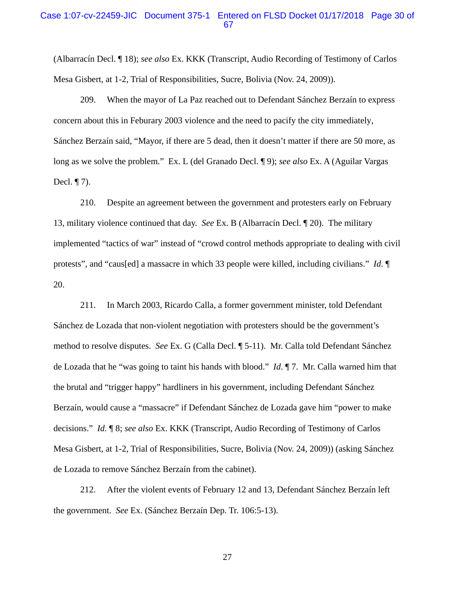#### Case 1:07-cv-22459-JIC Document 375-1 Entered on FLSD Docket 01/17/2018 Page 30 of 67

(Albarracín Decl. ¶ 18); *see also* Ex. KKK (Transcript, Audio Recording of Testimony of Carlos Mesa Gisbert, at 1-2, Trial of Responsibilities, Sucre, Bolivia (Nov. 24, 2009)).

209. When the mayor of La Paz reached out to Defendant Sánchez Berzaín to express concern about this in Feburary 2003 violence and the need to pacify the city immediately, Sánchez Berzaín said, "Mayor, if there are 5 dead, then it doesn't matter if there are 50 more, as long as we solve the problem." Ex. L (del Granado Decl. ¶ 9); *see also* Ex. A (Aguilar Vargas Decl. ¶ 7).

210. Despite an agreement between the government and protesters early on February 13, military violence continued that day. *See* Ex. B (Albarracín Decl. ¶ 20). The military implemented "tactics of war" instead of "crowd control methods appropriate to dealing with civil protests", and "caus[ed] a massacre in which 33 people were killed, including civilians." *Id*. ¶ 20.

211. In March 2003, Ricardo Calla, a former government minister, told Defendant Sánchez de Lozada that non-violent negotiation with protesters should be the government's method to resolve disputes. *See* Ex. G (Calla Decl. ¶ 5-11). Mr. Calla told Defendant Sánchez de Lozada that he "was going to taint his hands with blood." *Id*. ¶ 7. Mr. Calla warned him that the brutal and "trigger happy" hardliners in his government, including Defendant Sánchez Berzaín, would cause a "massacre" if Defendant Sánchez de Lozada gave him "power to make decisions." *Id.* ¶ 8; *see also* Ex. KKK (Transcript, Audio Recording of Testimony of Carlos Mesa Gisbert, at 1-2, Trial of Responsibilities, Sucre, Bolivia (Nov. 24, 2009)) (asking Sánchez de Lozada to remove Sánchez Berzaín from the cabinet).

212. After the violent events of February 12 and 13, Defendant Sánchez Berzaín left the government. *See* Ex. (Sánchez Berzaín Dep. Tr. 106:5-13).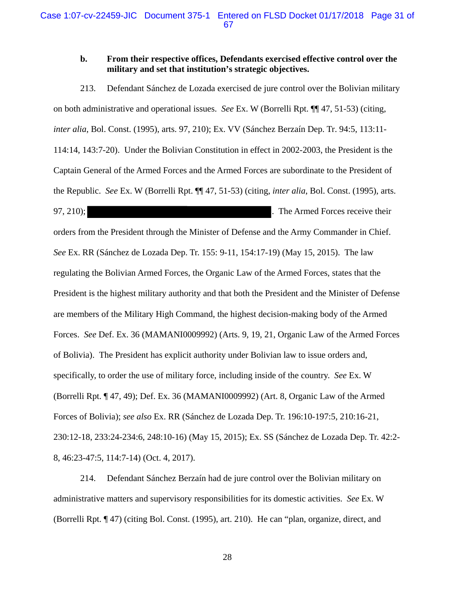### **b. From their respective offices, Defendants exercised effective control over the military and set that institution's strategic objectives.**

213. Defendant Sánchez de Lozada exercised de jure control over the Bolivian military on both administrative and operational issues. *See* Ex. W (Borrelli Rpt. ¶¶ 47, 51-53) (citing, *inter alia*, Bol. Const. (1995), arts. 97, 210); Ex. VV (Sánchez Berzaín Dep. Tr. 94:5, 113:11- 114:14, 143:7-20). Under the Bolivian Constitution in effect in 2002-2003, the President is the Captain General of the Armed Forces and the Armed Forces are subordinate to the President of the Republic. *See* Ex. W (Borrelli Rpt. ¶¶ 47, 51-53) (citing, *inter alia*, Bol. Const. (1995), arts. 97, 210);  $\blacksquare$  The Armed Forces receive their

orders from the President through the Minister of Defense and the Army Commander in Chief. *See* Ex. RR (Sánchez de Lozada Dep. Tr. 155: 9-11, 154:17-19) (May 15, 2015). The law regulating the Bolivian Armed Forces, the Organic Law of the Armed Forces, states that the President is the highest military authority and that both the President and the Minister of Defense are members of the Military High Command, the highest decision-making body of the Armed Forces. *See* Def. Ex. 36 (MAMANI0009992) (Arts. 9, 19, 21, Organic Law of the Armed Forces of Bolivia). The President has explicit authority under Bolivian law to issue orders and, specifically, to order the use of military force, including inside of the country. *See* Ex. W (Borrelli Rpt. ¶ 47, 49); Def. Ex. 36 (MAMANI0009992) (Art. 8, Organic Law of the Armed Forces of Bolivia); *see also* Ex. RR (Sánchez de Lozada Dep. Tr. 196:10-197:5, 210:16-21, 230:12-18, 233:24-234:6, 248:10-16) (May 15, 2015); Ex. SS (Sánchez de Lozada Dep. Tr. 42:2- 8, 46:23-47:5, 114:7-14) (Oct. 4, 2017).

214. Defendant Sánchez Berzaín had de jure control over the Bolivian military on administrative matters and supervisory responsibilities for its domestic activities. *See* Ex. W (Borrelli Rpt. ¶ 47) (citing Bol. Const. (1995), art. 210). He can "plan, organize, direct, and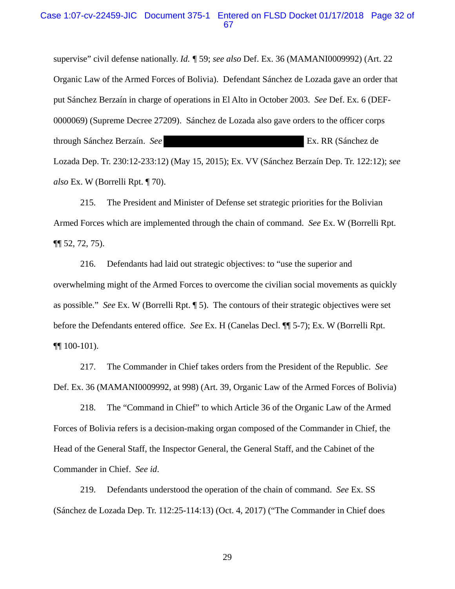#### Case 1:07-cv-22459-JIC Document 375-1 Entered on FLSD Docket 01/17/2018 Page 32 of 67

supervise" civil defense nationally. *Id. ¶* 59; *see also* Def. Ex. 36 (MAMANI0009992) (Art. 22 Organic Law of the Armed Forces of Bolivia). Defendant Sánchez de Lozada gave an order that put Sánchez Berzaín in charge of operations in El Alto in October 2003. *See* Def. Ex. 6 (DEF-0000069) (Supreme Decree 27209). Sánchez de Lozada also gave orders to the officer corps through Sánchez Berzaín. *See* Ex. RR (Sánchez de Lozada Dep. Tr. 230:12-233:12) (May 15, 2015); Ex. VV (Sánchez Berzaín Dep. Tr. 122:12); *see also* Ex. W (Borrelli Rpt. ¶ 70).

215. The President and Minister of Defense set strategic priorities for the Bolivian Armed Forces which are implemented through the chain of command. *See* Ex. W (Borrelli Rpt. ¶¶ 52, 72, 75).

216. Defendants had laid out strategic objectives: to "use the superior and overwhelming might of the Armed Forces to overcome the civilian social movements as quickly as possible." *See* Ex. W (Borrelli Rpt. ¶ 5). The contours of their strategic objectives were set before the Defendants entered office. *See* Ex. H (Canelas Decl. ¶¶ 5-7); Ex. W (Borrelli Rpt. ¶¶ 100-101).

217. The Commander in Chief takes orders from the President of the Republic. *See*  Def. Ex. 36 (MAMANI0009992, at 998) (Art. 39, Organic Law of the Armed Forces of Bolivia)

218. The "Command in Chief" to which Article 36 of the Organic Law of the Armed Forces of Bolivia refers is a decision-making organ composed of the Commander in Chief, the Head of the General Staff, the Inspector General, the General Staff, and the Cabinet of the Commander in Chief. *See id*.

219. Defendants understood the operation of the chain of command. *See* Ex. SS (Sánchez de Lozada Dep. Tr. 112:25-114:13) (Oct. 4, 2017) ("The Commander in Chief does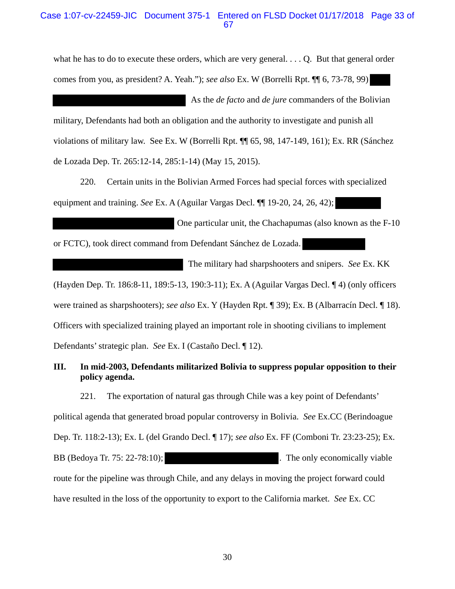### Case 1:07-cv-22459-JIC Document 375-1 Entered on FLSD Docket 01/17/2018 Page 33 of 67

what he has to do to execute these orders, which are very general. . . . Q. But that general order comes from you, as president? A. Yeah."); *see also* Ex. W (Borrelli Rpt. ¶¶ 6, 73-78, 99)

 As the *de facto* and *de jure* commanders of the Bolivian military, Defendants had both an obligation and the authority to investigate and punish all violations of military law. See Ex. W (Borrelli Rpt. ¶¶ 65, 98, 147-149, 161); Ex. RR (Sánchez de Lozada Dep. Tr. 265:12-14, 285:1-14) (May 15, 2015).

220. Certain units in the Bolivian Armed Forces had special forces with specialized equipment and training. *See* Ex. A (Aguilar Vargas Decl. ¶¶ 19-20, 24, 26, 42);

 One particular unit, the Chachapumas (also known as the F-10 or FCTC), took direct command from Defendant Sánchez de Lozada.

 The military had sharpshooters and snipers. *See* Ex. KK (Hayden Dep. Tr. 186:8-11, 189:5-13, 190:3-11); Ex. A (Aguilar Vargas Decl. ¶ 4) (only officers were trained as sharpshooters); *see also* Ex. Y (Hayden Rpt. ¶ 39); Ex. B (Albarracín Decl. ¶ 18). Officers with specialized training played an important role in shooting civilians to implement Defendants' strategic plan. *See* Ex. I (Castaño Decl. ¶ 12).

### **III. In mid-2003, Defendants militarized Bolivia to suppress popular opposition to their policy agenda.**

221. The exportation of natural gas through Chile was a key point of Defendants' political agenda that generated broad popular controversy in Bolivia. *See* Ex.CC (Berindoague Dep. Tr. 118:2-13); Ex. L (del Grando Decl. ¶ 17); *see also* Ex. FF (Comboni Tr. 23:23-25); Ex. BB (Bedoya Tr. 75: 22-78:10); The only economically viable route for the pipeline was through Chile, and any delays in moving the project forward could have resulted in the loss of the opportunity to export to the California market. *See* Ex. CC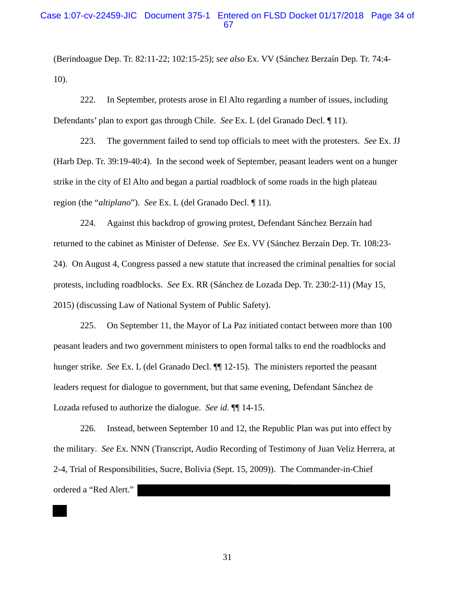### Case 1:07-cv-22459-JIC Document 375-1 Entered on FLSD Docket 01/17/2018 Page 34 of 67

(Berindoague Dep. Tr. 82:11-22; 102:15-25); *see also* Ex. VV (Sánchez Berzaín Dep. Tr. 74:4- 10).

222. In September, protests arose in El Alto regarding a number of issues, including Defendants' plan to export gas through Chile. *See* Ex. L (del Granado Decl. ¶ 11).

223. The government failed to send top officials to meet with the protesters. *See* Ex. JJ (Harb Dep. Tr. 39:19-40:4). In the second week of September, peasant leaders went on a hunger strike in the city of El Alto and began a partial roadblock of some roads in the high plateau region (the "*altiplano*"). *See* Ex. L (del Granado Decl. ¶ 11).

224. Against this backdrop of growing protest, Defendant Sánchez Berzaín had returned to the cabinet as Minister of Defense. *See* Ex. VV (Sánchez Berzaín Dep. Tr. 108:23- 24). On August 4, Congress passed a new statute that increased the criminal penalties for social protests, including roadblocks. *See* Ex. RR (Sánchez de Lozada Dep. Tr. 230:2-11) (May 15, 2015) (discussing Law of National System of Public Safety).

225. On September 11, the Mayor of La Paz initiated contact between more than 100 peasant leaders and two government ministers to open formal talks to end the roadblocks and hunger strike. *See* Ex. L (del Granado Decl. ¶¶ 12-15). The ministers reported the peasant leaders request for dialogue to government, but that same evening, Defendant Sánchez de Lozada refused to authorize the dialogue. *See id*. ¶¶ 14-15.

226. Instead, between September 10 and 12, the Republic Plan was put into effect by the military. *See* Ex. NNN (Transcript, Audio Recording of Testimony of Juan Veliz Herrera, at 2-4, Trial of Responsibilities, Sucre, Bolivia (Sept. 15, 2009)). The Commander-in-Chief ordered a "Red Alert."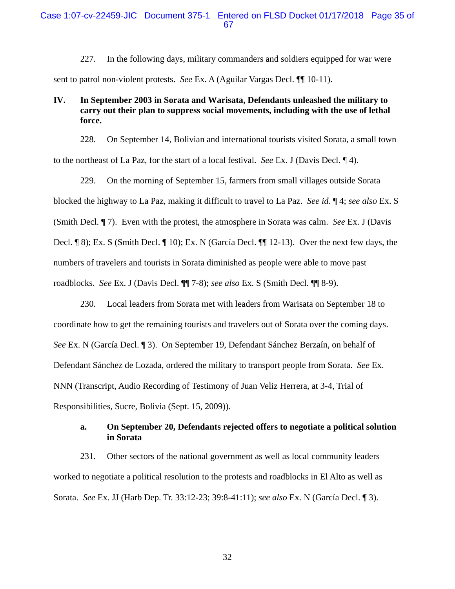227. In the following days, military commanders and soldiers equipped for war were sent to patrol non-violent protests. *See* Ex. A (Aguilar Vargas Decl. ¶¶ 10-11).

### **IV. In September 2003 in Sorata and Warisata, Defendants unleashed the military to carry out their plan to suppress social movements, including with the use of lethal force.**

228. On September 14, Bolivian and international tourists visited Sorata, a small town to the northeast of La Paz, for the start of a local festival. *See* Ex. J (Davis Decl. ¶ 4).

229. On the morning of September 15, farmers from small villages outside Sorata blocked the highway to La Paz, making it difficult to travel to La Paz. *See id*. ¶ 4; *see also* Ex. S (Smith Decl. ¶ 7). Even with the protest, the atmosphere in Sorata was calm. *See* Ex. J (Davis Decl. ¶ 8); Ex. S (Smith Decl. ¶ 10); Ex. N (García Decl. ¶¶ 12-13). Over the next few days, the numbers of travelers and tourists in Sorata diminished as people were able to move past roadblocks. *See* Ex. J (Davis Decl. ¶¶ 7-8); *see also* Ex. S (Smith Decl. ¶¶ 8-9).

230. Local leaders from Sorata met with leaders from Warisata on September 18 to coordinate how to get the remaining tourists and travelers out of Sorata over the coming days. *See* Ex. N (García Decl. ¶ 3). On September 19, Defendant Sánchez Berzaín, on behalf of Defendant Sánchez de Lozada, ordered the military to transport people from Sorata. *See* Ex. NNN (Transcript, Audio Recording of Testimony of Juan Veliz Herrera, at 3-4, Trial of Responsibilities, Sucre, Bolivia (Sept. 15, 2009)).

#### **a. On September 20, Defendants rejected offers to negotiate a political solution in Sorata**

231. Other sectors of the national government as well as local community leaders worked to negotiate a political resolution to the protests and roadblocks in El Alto as well as Sorata. *See* Ex. JJ (Harb Dep. Tr. 33:12-23; 39:8-41:11); *see also* Ex. N (García Decl. ¶ 3).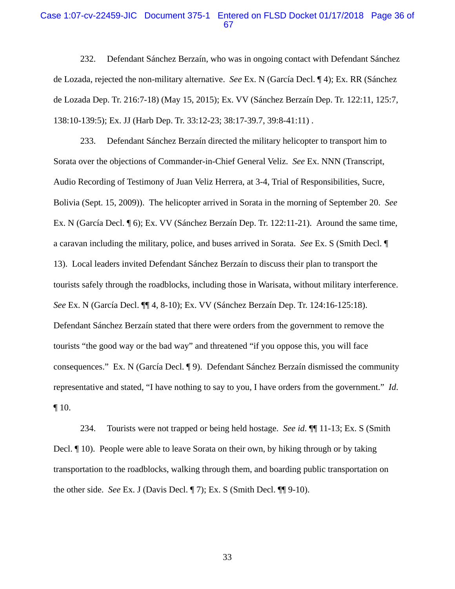#### Case 1:07-cv-22459-JIC Document 375-1 Entered on FLSD Docket 01/17/2018 Page 36 of 67

232. Defendant Sánchez Berzaín, who was in ongoing contact with Defendant Sánchez de Lozada, rejected the non-military alternative. *See* Ex. N (García Decl. ¶ 4); Ex. RR (Sánchez de Lozada Dep. Tr. 216:7-18) (May 15, 2015); Ex. VV (Sánchez Berzaín Dep. Tr. 122:11, 125:7, 138:10-139:5); Ex. JJ (Harb Dep. Tr. 33:12-23; 38:17-39.7, 39:8-41:11) .

233. Defendant Sánchez Berzaín directed the military helicopter to transport him to Sorata over the objections of Commander-in-Chief General Veliz. *See* Ex. NNN (Transcript, Audio Recording of Testimony of Juan Veliz Herrera, at 3-4, Trial of Responsibilities, Sucre, Bolivia (Sept. 15, 2009)). The helicopter arrived in Sorata in the morning of September 20. *See* Ex. N (García Decl. ¶ 6); Ex. VV (Sánchez Berzaín Dep. Tr. 122:11-21). Around the same time, a caravan including the military, police, and buses arrived in Sorata. *See* Ex. S (Smith Decl. ¶ 13). Local leaders invited Defendant Sánchez Berzaín to discuss their plan to transport the tourists safely through the roadblocks, including those in Warisata, without military interference. *See* Ex. N (García Decl. ¶¶ 4, 8-10); Ex. VV (Sánchez Berzaín Dep. Tr. 124:16-125:18). Defendant Sánchez Berzaín stated that there were orders from the government to remove the tourists "the good way or the bad way" and threatened "if you oppose this, you will face consequences." Ex. N (García Decl. ¶ 9). Defendant Sánchez Berzaín dismissed the community representative and stated, "I have nothing to say to you, I have orders from the government." *Id*. ¶ 10.

234. Tourists were not trapped or being held hostage. *See id*. ¶¶ 11-13; Ex. S (Smith Decl. ¶ 10). People were able to leave Sorata on their own, by hiking through or by taking transportation to the roadblocks, walking through them, and boarding public transportation on the other side. *See* Ex. J (Davis Decl. ¶ 7); Ex. S (Smith Decl. ¶¶ 9-10).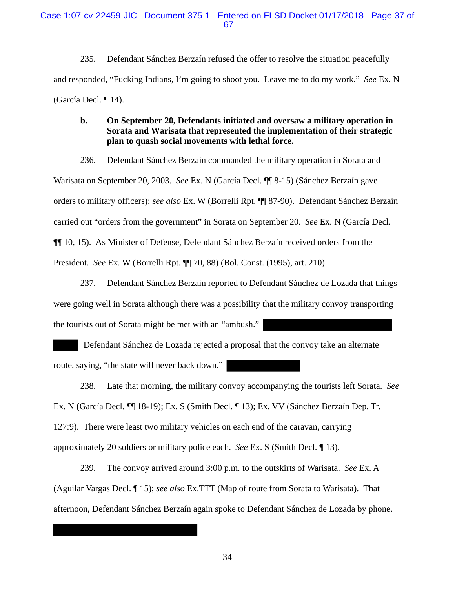235. Defendant Sánchez Berzaín refused the offer to resolve the situation peacefully and responded, "Fucking Indians, I'm going to shoot you. Leave me to do my work." *See* Ex. N (García Decl. ¶ 14).

### **b. On September 20, Defendants initiated and oversaw a military operation in Sorata and Warisata that represented the implementation of their strategic plan to quash social movements with lethal force.**

236. Defendant Sánchez Berzaín commanded the military operation in Sorata and

Warisata on September 20, 2003. *See* Ex. N (García Decl. ¶¶ 8-15) (Sánchez Berzaín gave orders to military officers); *see also* Ex. W (Borrelli Rpt. ¶¶ 87-90). Defendant Sánchez Berzaín carried out "orders from the government" in Sorata on September 20. *See* Ex. N (García Decl. ¶¶ 10, 15). As Minister of Defense, Defendant Sánchez Berzaín received orders from the President. *See* Ex. W (Borrelli Rpt. ¶¶ 70, 88) (Bol. Const. (1995), art. 210).

237. Defendant Sánchez Berzaín reported to Defendant Sánchez de Lozada that things were going well in Sorata although there was a possibility that the military convoy transporting the tourists out of Sorata might be met with an "ambush."

 Defendant Sánchez de Lozada rejected a proposal that the convoy take an alternate route, saying, "the state will never back down."

238. Late that morning, the military convoy accompanying the tourists left Sorata. *See* Ex. N (García Decl. ¶¶ 18-19); Ex. S (Smith Decl. ¶ 13); Ex. VV (Sánchez Berzaín Dep. Tr. 127:9). There were least two military vehicles on each end of the caravan, carrying approximately 20 soldiers or military police each. *See* Ex. S (Smith Decl. ¶ 13).

239. The convoy arrived around 3:00 p.m. to the outskirts of Warisata. *See* Ex. A (Aguilar Vargas Decl. ¶ 15); *see also* Ex.TTT (Map of route from Sorata to Warisata). That afternoon, Defendant Sánchez Berzaín again spoke to Defendant Sánchez de Lozada by phone.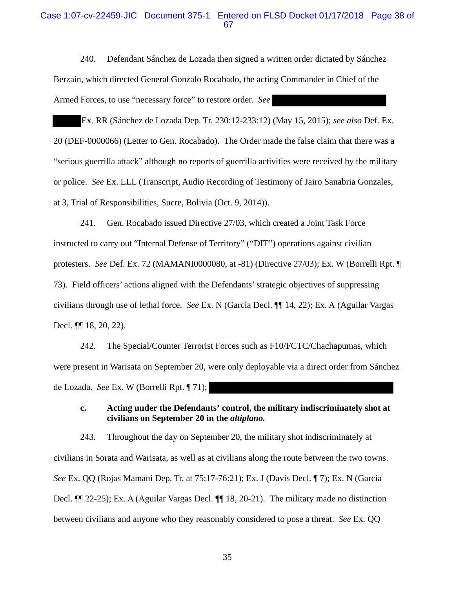#### Case 1:07-cv-22459-JIC Document 375-1 Entered on FLSD Docket 01/17/2018 Page 38 of 67

240. Defendant Sánchez de Lozada then signed a written order dictated by Sánchez Berzaín, which directed General Gonzalo Rocabado, the acting Commander in Chief of the Armed Forces, to use "necessary force" to restore order. *See*

Ex. RR (Sánchez de Lozada Dep. Tr. 230:12-233:12) (May 15, 2015); *see also* Def. Ex. 20 (DEF-0000066) (Letter to Gen. Rocabado). The Order made the false claim that there was a "serious guerrilla attack" although no reports of guerrilla activities were received by the military or police. *See* Ex. LLL (Transcript, Audio Recording of Testimony of Jairo Sanabria Gonzales, at 3, Trial of Responsibilities, Sucre, Bolivia (Oct. 9, 2014)).

241. Gen. Rocabado issued Directive 27/03, which created a Joint Task Force instructed to carry out "Internal Defense of Territory" ("DIT") operations against civilian protesters. *See* Def. Ex. 72 (MAMANI0000080, at -81) (Directive 27/03); Ex. W (Borrelli Rpt. ¶ 73). Field officers' actions aligned with the Defendants' strategic objectives of suppressing civilians through use of lethal force. *See* Ex. N (García Decl. ¶¶ 14, 22); Ex. A (Aguilar Vargas Decl. ¶¶ 18, 20, 22).

242. The Special/Counter Terrorist Forces such as F10/FCTC/Chachapumas, which were present in Warisata on September 20, were only deployable via a direct order from Sánchez de Lozada. *See* Ex. W (Borrelli Rpt. ¶ 71);

## **c. Acting under the Defendants' control, the military indiscriminately shot at civilians on September 20 in the** *altiplano.*

243. Throughout the day on September 20, the military shot indiscriminately at civilians in Sorata and Warisata, as well as at civilians along the route between the two towns. *See* Ex. QQ (Rojas Mamani Dep. Tr. at 75:17-76:21); Ex. J (Davis Decl. ¶ 7); Ex. N (García Decl. ¶¶ 22-25); Ex. A (Aguilar Vargas Decl. ¶¶ 18, 20-21). The military made no distinction between civilians and anyone who they reasonably considered to pose a threat. *See* Ex. QQ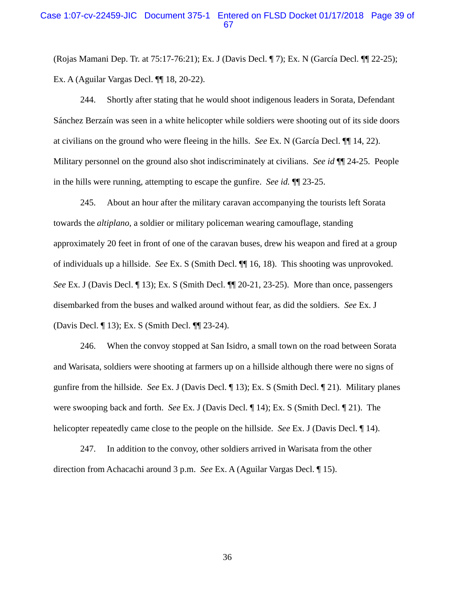### Case 1:07-cv-22459-JIC Document 375-1 Entered on FLSD Docket 01/17/2018 Page 39 of 67

(Rojas Mamani Dep. Tr. at 75:17-76:21); Ex. J (Davis Decl. ¶ 7); Ex. N (García Decl. ¶¶ 22-25); Ex. A (Aguilar Vargas Decl. ¶¶ 18, 20-22).

244. Shortly after stating that he would shoot indigenous leaders in Sorata, Defendant Sánchez Berzaín was seen in a white helicopter while soldiers were shooting out of its side doors at civilians on the ground who were fleeing in the hills. *See* Ex. N (García Decl. ¶¶ 14, 22). Military personnel on the ground also shot indiscriminately at civilians. *See id* ¶¶ 24-25. People in the hills were running, attempting to escape the gunfire. *See id.* ¶¶ 23-25.

245. About an hour after the military caravan accompanying the tourists left Sorata towards the *altiplano*, a soldier or military policeman wearing camouflage, standing approximately 20 feet in front of one of the caravan buses, drew his weapon and fired at a group of individuals up a hillside. *See* Ex. S (Smith Decl. ¶¶ 16, 18). This shooting was unprovoked. *See* Ex. J (Davis Decl. ¶ 13); Ex. S (Smith Decl. ¶¶ 20-21, 23-25). More than once, passengers disembarked from the buses and walked around without fear, as did the soldiers. *See* Ex. J (Davis Decl. ¶ 13); Ex. S (Smith Decl. ¶¶ 23-24).

246. When the convoy stopped at San Isidro, a small town on the road between Sorata and Warisata, soldiers were shooting at farmers up on a hillside although there were no signs of gunfire from the hillside. *See* Ex. J (Davis Decl. ¶ 13); Ex. S (Smith Decl. ¶ 21). Military planes were swooping back and forth. *See* Ex. J (Davis Decl. ¶ 14); Ex. S (Smith Decl. ¶ 21). The helicopter repeatedly came close to the people on the hillside. *See* Ex. J (Davis Decl. ¶ 14).

247. In addition to the convoy, other soldiers arrived in Warisata from the other direction from Achacachi around 3 p.m. *See* Ex. A (Aguilar Vargas Decl. ¶ 15).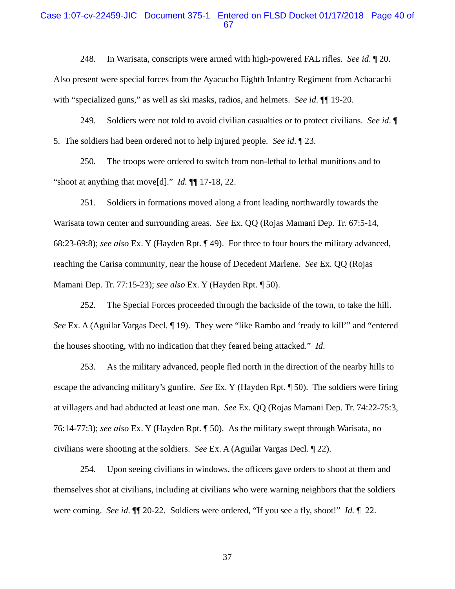#### Case 1:07-cv-22459-JIC Document 375-1 Entered on FLSD Docket 01/17/2018 Page 40 of 67

248. In Warisata, conscripts were armed with high-powered FAL rifles. *See id*. ¶ 20. Also present were special forces from the Ayacucho Eighth Infantry Regiment from Achacachi with "specialized guns," as well as ski masks, radios, and helmets. *See id*. ¶¶ 19-20.

249. Soldiers were not told to avoid civilian casualties or to protect civilians. *See id*. ¶ 5. The soldiers had been ordered not to help injured people. *See id*. ¶ 23.

250. The troops were ordered to switch from non-lethal to lethal munitions and to "shoot at anything that move[d]." *Id.* ¶¶ 17-18, 22.

251. Soldiers in formations moved along a front leading northwardly towards the Warisata town center and surrounding areas. *See* Ex. QQ (Rojas Mamani Dep. Tr. 67:5-14, 68:23-69:8); *see also* Ex. Y (Hayden Rpt. ¶ 49). For three to four hours the military advanced, reaching the Carisa community, near the house of Decedent Marlene. *See* Ex. QQ (Rojas Mamani Dep. Tr. 77:15-23); *see also* Ex. Y (Hayden Rpt. ¶ 50).

252. The Special Forces proceeded through the backside of the town, to take the hill. *See* Ex. A (Aguilar Vargas Decl. 19). They were "like Rambo and 'ready to kill'" and "entered the houses shooting, with no indication that they feared being attacked." *Id*.

253. As the military advanced, people fled north in the direction of the nearby hills to escape the advancing military's gunfire. *See* Ex. Y (Hayden Rpt. ¶ 50). The soldiers were firing at villagers and had abducted at least one man. *See* Ex. QQ (Rojas Mamani Dep. Tr. 74:22-75:3, 76:14-77:3); *see also* Ex. Y (Hayden Rpt. ¶ 50). As the military swept through Warisata, no civilians were shooting at the soldiers. *See* Ex. A (Aguilar Vargas Decl. ¶ 22).

254. Upon seeing civilians in windows, the officers gave orders to shoot at them and themselves shot at civilians, including at civilians who were warning neighbors that the soldiers were coming. *See id*. ¶¶ 20-22. Soldiers were ordered, "If you see a fly, shoot!" *Id.* ¶ 22.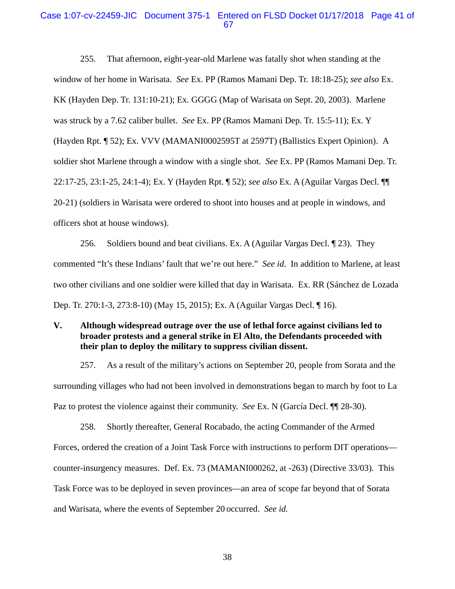#### Case 1:07-cv-22459-JIC Document 375-1 Entered on FLSD Docket 01/17/2018 Page 41 of 67

255. That afternoon, eight-year-old Marlene was fatally shot when standing at the window of her home in Warisata. *See* Ex. PP (Ramos Mamani Dep. Tr. 18:18-25); *see also* Ex. KK (Hayden Dep. Tr. 131:10-21); Ex. GGGG (Map of Warisata on Sept. 20, 2003). Marlene was struck by a 7.62 caliber bullet. *See* Ex. PP (Ramos Mamani Dep. Tr. 15:5-11); Ex. Y (Hayden Rpt. ¶ 52); Ex. VVV (MAMANI0002595T at 2597T) (Ballistics Expert Opinion). A soldier shot Marlene through a window with a single shot. *See* Ex. PP (Ramos Mamani Dep. Tr. 22:17-25, 23:1-25, 24:1-4); Ex. Y (Hayden Rpt. ¶ 52); *see also* Ex. A (Aguilar Vargas Decl. ¶¶ 20-21) (soldiers in Warisata were ordered to shoot into houses and at people in windows, and officers shot at house windows).

256. Soldiers bound and beat civilians. Ex. A (Aguilar Vargas Decl. ¶ 23). They commented "It's these Indians' fault that we're out here." *See id*. In addition to Marlene, at least two other civilians and one soldier were killed that day in Warisata. Ex. RR (Sánchez de Lozada Dep. Tr. 270:1-3, 273:8-10) (May 15, 2015); Ex. A (Aguilar Vargas Decl. ¶ 16).

### **V. Although widespread outrage over the use of lethal force against civilians led to broader protests and a general strike in El Alto, the Defendants proceeded with their plan to deploy the military to suppress civilian dissent.**

257. As a result of the military's actions on September 20, people from Sorata and the surrounding villages who had not been involved in demonstrations began to march by foot to La Paz to protest the violence against their community. *See* Ex. N (García Decl. ¶¶ 28-30).

258. Shortly thereafter, General Rocabado, the acting Commander of the Armed Forces, ordered the creation of a Joint Task Force with instructions to perform DIT operations counter-insurgency measures. Def. Ex. 73 (MAMANI000262, at -263) (Directive 33/03). This Task Force was to be deployed in seven provinces—an area of scope far beyond that of Sorata and Warisata, where the events of September 20 occurred. *See id.*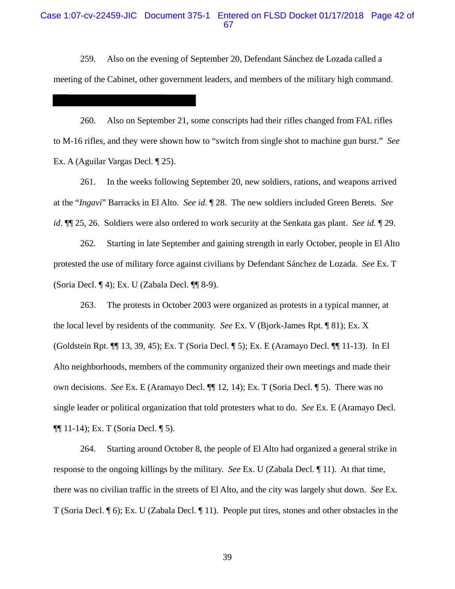#### Case 1:07-cv-22459-JIC Document 375-1 Entered on FLSD Docket 01/17/2018 Page 42 of 67

259. Also on the evening of September 20, Defendant Sánchez de Lozada called a meeting of the Cabinet, other government leaders, and members of the military high command.

260. Also on September 21, some conscripts had their rifles changed from FAL rifles to M-16 rifles, and they were shown how to "switch from single shot to machine gun burst." *See*  Ex. A (Aguilar Vargas Decl. ¶ 25).

261. In the weeks following September 20, new soldiers, rations, and weapons arrived at the "*Ingavi*" Barracks in El Alto. *See id*. ¶ 28. The new soldiers included Green Berets. *See id*. ¶¶ 25, 26. Soldiers were also ordered to work security at the Senkata gas plant. *See id.* ¶ 29.

262. Starting in late September and gaining strength in early October, people in El Alto protested the use of military force against civilians by Defendant Sánchez de Lozada. *See* Ex. T (Soria Decl. ¶ 4); Ex. U (Zabala Decl. ¶¶ 8-9).

263. The protests in October 2003 were organized as protests in a typical manner, at the local level by residents of the community. *See* Ex. V (Bjork-James Rpt. ¶ 81); Ex. X (Goldstein Rpt. ¶¶ 13, 39, 45); Ex. T (Soria Decl. ¶ 5); Ex. E (Aramayo Decl. ¶¶ 11-13). In El Alto neighborhoods, members of the community organized their own meetings and made their own decisions. *See* Ex. E (Aramayo Decl. ¶¶ 12, 14); Ex. T (Soria Decl. ¶ 5). There was no single leader or political organization that told protesters what to do. *See* Ex. E (Aramayo Decl. ¶¶ 11-14); Ex. T (Soria Decl. ¶ 5).

264. Starting around October 8, the people of El Alto had organized a general strike in response to the ongoing killings by the military. *See* Ex. U (Zabala Decl. ¶ 11). At that time, there was no civilian traffic in the streets of El Alto, and the city was largely shut down. *See* Ex. T (Soria Decl. ¶ 6); Ex. U (Zabala Decl. ¶ 11). People put tires, stones and other obstacles in the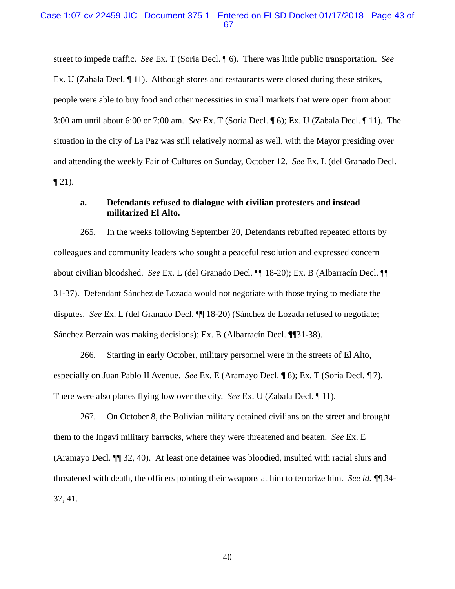#### Case 1:07-cv-22459-JIC Document 375-1 Entered on FLSD Docket 01/17/2018 Page 43 of 67

street to impede traffic. *See* Ex. T (Soria Decl. ¶ 6). There was little public transportation. *See* Ex. U (Zabala Decl. ¶ 11). Although stores and restaurants were closed during these strikes, people were able to buy food and other necessities in small markets that were open from about 3:00 am until about 6:00 or 7:00 am. *See* Ex. T (Soria Decl. ¶ 6); Ex. U (Zabala Decl. ¶ 11). The situation in the city of La Paz was still relatively normal as well, with the Mayor presiding over and attending the weekly Fair of Cultures on Sunday, October 12. *See* Ex. L (del Granado Decl.  $\P$  21).

### **a. Defendants refused to dialogue with civilian protesters and instead militarized El Alto.**

265. In the weeks following September 20, Defendants rebuffed repeated efforts by colleagues and community leaders who sought a peaceful resolution and expressed concern about civilian bloodshed. *See* Ex. L (del Granado Decl. ¶¶ 18-20); Ex. B (Albarracín Decl. ¶¶ 31-37). Defendant Sánchez de Lozada would not negotiate with those trying to mediate the disputes. *See* Ex. L (del Granado Decl. ¶¶ 18-20) (Sánchez de Lozada refused to negotiate; Sánchez Berzaín was making decisions); Ex. B (Albarracín Decl. ¶¶31-38).

266. Starting in early October, military personnel were in the streets of El Alto, especially on Juan Pablo II Avenue. *See* Ex. E (Aramayo Decl. ¶ 8); Ex. T (Soria Decl. ¶ 7). There were also planes flying low over the city. *See* Ex. U (Zabala Decl. ¶ 11).

267. On October 8, the Bolivian military detained civilians on the street and brought them to the Ingavi military barracks, where they were threatened and beaten. *See* Ex. E (Aramayo Decl. ¶¶ 32, 40). At least one detainee was bloodied, insulted with racial slurs and threatened with death, the officers pointing their weapons at him to terrorize him. *See id.* ¶¶ 34- 37, 41.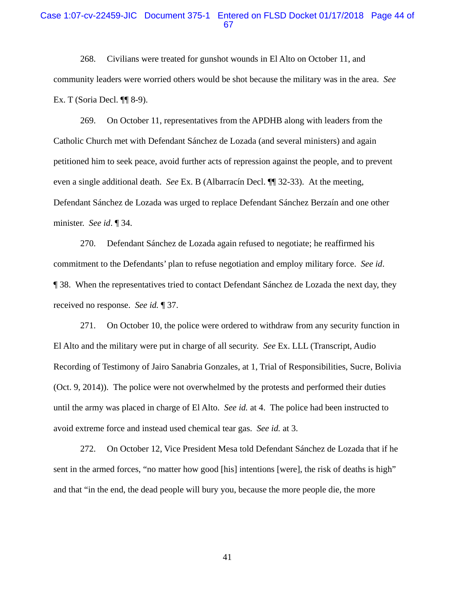#### Case 1:07-cv-22459-JIC Document 375-1 Entered on FLSD Docket 01/17/2018 Page 44 of 67

268. Civilians were treated for gunshot wounds in El Alto on October 11, and community leaders were worried others would be shot because the military was in the area. *See* Ex. T (Soria Decl. ¶¶ 8-9).

269. On October 11, representatives from the APDHB along with leaders from the Catholic Church met with Defendant Sánchez de Lozada (and several ministers) and again petitioned him to seek peace, avoid further acts of repression against the people, and to prevent even a single additional death. *See* Ex. B (Albarracín Decl. ¶¶ 32-33). At the meeting, Defendant Sánchez de Lozada was urged to replace Defendant Sánchez Berzaín and one other minister. *See id*. ¶ 34.

270. Defendant Sánchez de Lozada again refused to negotiate; he reaffirmed his commitment to the Defendants' plan to refuse negotiation and employ military force. *See id*. ¶ 38. When the representatives tried to contact Defendant Sánchez de Lozada the next day, they received no response. *See id.* ¶ 37.

271. On October 10, the police were ordered to withdraw from any security function in El Alto and the military were put in charge of all security. *See* Ex. LLL (Transcript, Audio Recording of Testimony of Jairo Sanabria Gonzales, at 1, Trial of Responsibilities, Sucre, Bolivia (Oct. 9, 2014)). The police were not overwhelmed by the protests and performed their duties until the army was placed in charge of El Alto. *See id.* at 4. The police had been instructed to avoid extreme force and instead used chemical tear gas. *See id.* at 3.

272. On October 12, Vice President Mesa told Defendant Sánchez de Lozada that if he sent in the armed forces, "no matter how good [his] intentions [were], the risk of deaths is high" and that "in the end, the dead people will bury you, because the more people die, the more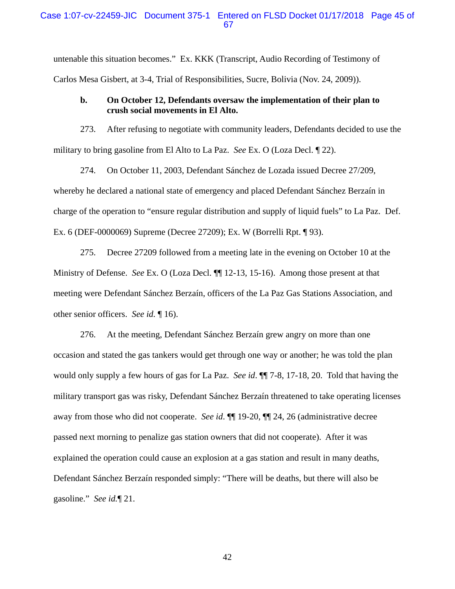#### Case 1:07-cv-22459-JIC Document 375-1 Entered on FLSD Docket 01/17/2018 Page 45 of 67

untenable this situation becomes." Ex. KKK (Transcript, Audio Recording of Testimony of Carlos Mesa Gisbert, at 3-4, Trial of Responsibilities, Sucre, Bolivia (Nov. 24, 2009)).

### **b. On October 12, Defendants oversaw the implementation of their plan to crush social movements in El Alto.**

273. After refusing to negotiate with community leaders, Defendants decided to use the military to bring gasoline from El Alto to La Paz. *See* Ex. O (Loza Decl. ¶ 22).

274. On October 11, 2003, Defendant Sánchez de Lozada issued Decree 27/209, whereby he declared a national state of emergency and placed Defendant Sánchez Berzaín in charge of the operation to "ensure regular distribution and supply of liquid fuels" to La Paz. Def. Ex. 6 (DEF-0000069) Supreme (Decree 27209); Ex. W (Borrelli Rpt. ¶ 93).

275. Decree 27209 followed from a meeting late in the evening on October 10 at the Ministry of Defense. *See* Ex. O (Loza Decl. ¶¶ 12-13, 15-16). Among those present at that meeting were Defendant Sánchez Berzaín, officers of the La Paz Gas Stations Association, and other senior officers. *See id.* ¶ 16).

276. At the meeting, Defendant Sánchez Berzaín grew angry on more than one occasion and stated the gas tankers would get through one way or another; he was told the plan would only supply a few hours of gas for La Paz. *See id*. ¶¶ 7-8, 17-18, 20. Told that having the military transport gas was risky, Defendant Sánchez Berzaín threatened to take operating licenses away from those who did not cooperate. *See id*. ¶¶ 19-20, ¶¶ 24, 26 (administrative decree passed next morning to penalize gas station owners that did not cooperate). After it was explained the operation could cause an explosion at a gas station and result in many deaths, Defendant Sánchez Berzaín responded simply: "There will be deaths, but there will also be gasoline." *See id.*¶ 21.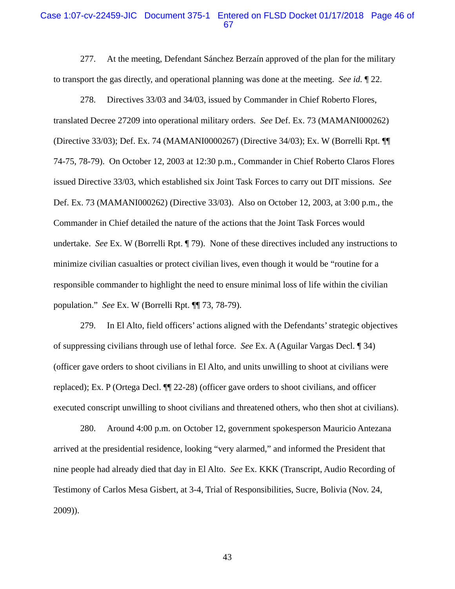#### Case 1:07-cv-22459-JIC Document 375-1 Entered on FLSD Docket 01/17/2018 Page 46 of 67

277. At the meeting, Defendant Sánchez Berzaín approved of the plan for the military to transport the gas directly, and operational planning was done at the meeting. *See id.* ¶ 22.

278. Directives 33/03 and 34/03, issued by Commander in Chief Roberto Flores, translated Decree 27209 into operational military orders. *See* Def. Ex. 73 (MAMANI000262) (Directive 33/03); Def. Ex. 74 (MAMANI0000267) (Directive 34/03); Ex. W (Borrelli Rpt. ¶¶ 74-75, 78-79). On October 12, 2003 at 12:30 p.m., Commander in Chief Roberto Claros Flores issued Directive 33/03, which established six Joint Task Forces to carry out DIT missions. *See* Def. Ex. 73 (MAMANI000262) (Directive 33/03). Also on October 12, 2003, at 3:00 p.m., the Commander in Chief detailed the nature of the actions that the Joint Task Forces would undertake. *See* Ex. W (Borrelli Rpt. ¶ 79). None of these directives included any instructions to minimize civilian casualties or protect civilian lives, even though it would be "routine for a responsible commander to highlight the need to ensure minimal loss of life within the civilian population." *See* Ex. W (Borrelli Rpt. ¶¶ 73, 78-79).

279. In El Alto, field officers' actions aligned with the Defendants' strategic objectives of suppressing civilians through use of lethal force. *See* Ex. A (Aguilar Vargas Decl. ¶ 34) (officer gave orders to shoot civilians in El Alto, and units unwilling to shoot at civilians were replaced); Ex. P (Ortega Decl. ¶¶ 22-28) (officer gave orders to shoot civilians, and officer executed conscript unwilling to shoot civilians and threatened others, who then shot at civilians).

280. Around 4:00 p.m. on October 12, government spokesperson Mauricio Antezana arrived at the presidential residence, looking "very alarmed," and informed the President that nine people had already died that day in El Alto. *See* Ex. KKK (Transcript, Audio Recording of Testimony of Carlos Mesa Gisbert, at 3-4, Trial of Responsibilities, Sucre, Bolivia (Nov. 24, 2009)).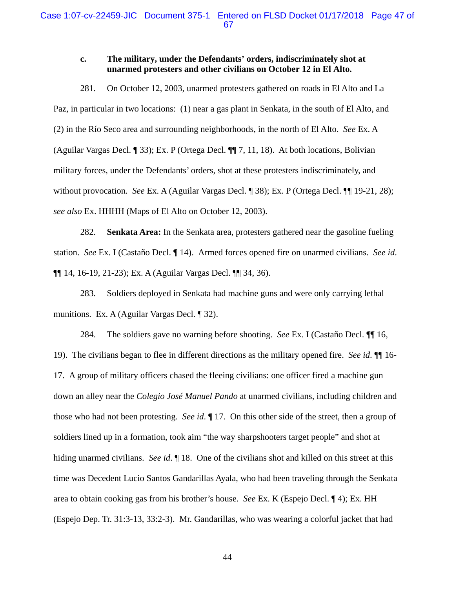### **c. The military, under the Defendants' orders, indiscriminately shot at unarmed protesters and other civilians on October 12 in El Alto.**

281. On October 12, 2003, unarmed protesters gathered on roads in El Alto and La Paz, in particular in two locations: (1) near a gas plant in Senkata, in the south of El Alto, and (2) in the Río Seco area and surrounding neighborhoods, in the north of El Alto. *See* Ex. A (Aguilar Vargas Decl. ¶ 33); Ex. P (Ortega Decl. ¶¶ 7, 11, 18). At both locations, Bolivian military forces, under the Defendants' orders, shot at these protesters indiscriminately, and without provocation. *See* Ex. A (Aguilar Vargas Decl. ¶ 38); Ex. P (Ortega Decl. ¶¶ 19-21, 28); *see also* Ex. HHHH (Maps of El Alto on October 12, 2003).

282. **Senkata Area:** In the Senkata area, protesters gathered near the gasoline fueling station. *See* Ex. I (Castaño Decl. ¶ 14). Armed forces opened fire on unarmed civilians. *See id*. ¶¶ 14, 16-19, 21-23); Ex. A (Aguilar Vargas Decl. ¶¶ 34, 36).

283. Soldiers deployed in Senkata had machine guns and were only carrying lethal munitions. Ex. A (Aguilar Vargas Decl. ¶ 32).

284. The soldiers gave no warning before shooting. *See* Ex. I (Castaño Decl. ¶¶ 16, 19). The civilians began to flee in different directions as the military opened fire.*See id*. ¶¶ 16- 17. A group of military officers chased the fleeing civilians: one officer fired a machine gun down an alley near the *Colegio José Manuel Pando* at unarmed civilians, including children and those who had not been protesting.*See id*. ¶ 17. On this other side of the street, then a group of soldiers lined up in a formation, took aim "the way sharpshooters target people" and shot at hiding unarmed civilians. *See id*. ¶ 18. One of the civilians shot and killed on this street at this time was Decedent Lucio Santos Gandarillas Ayala, who had been traveling through the Senkata area to obtain cooking gas from his brother's house. *See* Ex. K (Espejo Decl. ¶ 4); Ex. HH (Espejo Dep. Tr. 31:3-13, 33:2-3). Mr. Gandarillas, who was wearing a colorful jacket that had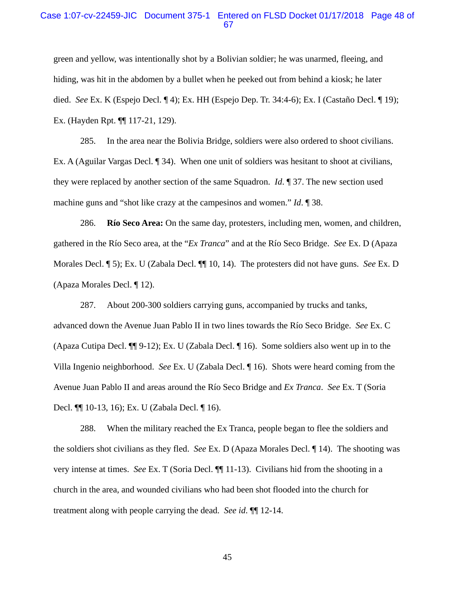### Case 1:07-cv-22459-JIC Document 375-1 Entered on FLSD Docket 01/17/2018 Page 48 of 67

green and yellow, was intentionally shot by a Bolivian soldier; he was unarmed, fleeing, and hiding, was hit in the abdomen by a bullet when he peeked out from behind a kiosk; he later died. *See* Ex. K (Espejo Decl. ¶ 4); Ex. HH (Espejo Dep. Tr. 34:4-6); Ex. I (Castaño Decl. ¶ 19); Ex. (Hayden Rpt. ¶¶ 117-21, 129).

285. In the area near the Bolivia Bridge, soldiers were also ordered to shoot civilians. Ex. A (Aguilar Vargas Decl. ¶ 34). When one unit of soldiers was hesitant to shoot at civilians, they were replaced by another section of the same Squadron. *Id*. ¶ 37. The new section used machine guns and "shot like crazy at the campesinos and women." *Id*. ¶ 38.

286. **Río Seco Area:** On the same day, protesters, including men, women, and children, gathered in the Río Seco area, at the "*Ex Tranca*" and at the Río Seco Bridge. *See* Ex. D (Apaza Morales Decl. ¶ 5); Ex. U (Zabala Decl. ¶¶ 10, 14). The protesters did not have guns. *See* Ex. D (Apaza Morales Decl. ¶ 12).

287. About 200-300 soldiers carrying guns, accompanied by trucks and tanks, advanced down the Avenue Juan Pablo II in two lines towards the Río Seco Bridge. *See* Ex. C (Apaza Cutipa Decl. ¶¶ 9-12); Ex. U (Zabala Decl. ¶ 16). Some soldiers also went up in to the Villa Ingenio neighborhood. *See* Ex. U (Zabala Decl. ¶ 16). Shots were heard coming from the Avenue Juan Pablo II and areas around the Río Seco Bridge and *Ex Tranca*. *See* Ex. T (Soria Decl. ¶¶ 10-13, 16); Ex. U (Zabala Decl. ¶ 16).

288. When the military reached the Ex Tranca, people began to flee the soldiers and the soldiers shot civilians as they fled. *See* Ex. D (Apaza Morales Decl. ¶ 14). The shooting was very intense at times. *See* Ex. T (Soria Decl. ¶¶ 11-13). Civilians hid from the shooting in a church in the area, and wounded civilians who had been shot flooded into the church for treatment along with people carrying the dead. *See id*. ¶¶ 12-14.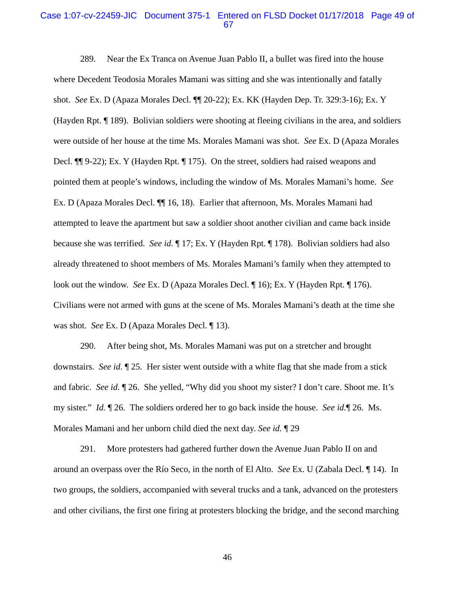#### Case 1:07-cv-22459-JIC Document 375-1 Entered on FLSD Docket 01/17/2018 Page 49 of 67

289. Near the Ex Tranca on Avenue Juan Pablo II, a bullet was fired into the house where Decedent Teodosia Morales Mamani was sitting and she was intentionally and fatally shot. *See* Ex. D (Apaza Morales Decl. ¶¶ 20-22); Ex. KK (Hayden Dep. Tr. 329:3-16); Ex. Y (Hayden Rpt. ¶ 189). Bolivian soldiers were shooting at fleeing civilians in the area, and soldiers were outside of her house at the time Ms. Morales Mamani was shot. *See* Ex. D (Apaza Morales Decl. ¶¶ 9-22); Ex. Y (Hayden Rpt. ¶ 175). On the street, soldiers had raised weapons and pointed them at people's windows, including the window of Ms. Morales Mamani's home. *See*  Ex. D (Apaza Morales Decl. ¶¶ 16, 18). Earlier that afternoon, Ms. Morales Mamani had attempted to leave the apartment but saw a soldier shoot another civilian and came back inside because she was terrified. *See id*. ¶ 17; Ex. Y (Hayden Rpt. ¶ 178). Bolivian soldiers had also already threatened to shoot members of Ms. Morales Mamani's family when they attempted to look out the window. *See* Ex. D (Apaza Morales Decl. ¶ 16); Ex. Y (Hayden Rpt. ¶ 176). Civilians were not armed with guns at the scene of Ms. Morales Mamani's death at the time she was shot. *See* Ex. D (Apaza Morales Decl. ¶ 13).

290. After being shot, Ms. Morales Mamani was put on a stretcher and brought downstairs. *See id*. ¶ 25. Her sister went outside with a white flag that she made from a stick and fabric. *See id*. ¶ 26. She yelled, "Why did you shoot my sister? I don't care. Shoot me. It's my sister." *Id.* ¶ 26. The soldiers ordered her to go back inside the house. *See id.*¶ 26. Ms. Morales Mamani and her unborn child died the next day. *See id.* ¶ 29

291. More protesters had gathered further down the Avenue Juan Pablo II on and around an overpass over the Río Seco, in the north of El Alto. *See* Ex. U (Zabala Decl. ¶ 14). In two groups, the soldiers, accompanied with several trucks and a tank, advanced on the protesters and other civilians, the first one firing at protesters blocking the bridge, and the second marching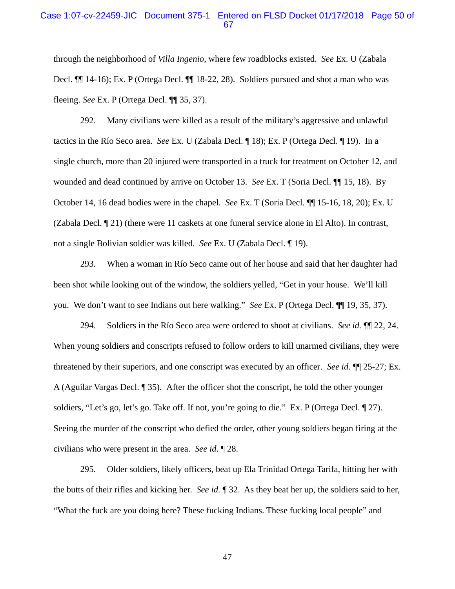### Case 1:07-cv-22459-JIC Document 375-1 Entered on FLSD Docket 01/17/2018 Page 50 of 67

through the neighborhood of *Villa Ingenio*, where few roadblocks existed. *See* Ex. U (Zabala Decl. ¶¶ 14-16); Ex. P (Ortega Decl. ¶¶ 18-22, 28). Soldiers pursued and shot a man who was fleeing. *See* Ex. P (Ortega Decl. ¶¶ 35, 37).

292. Many civilians were killed as a result of the military's aggressive and unlawful tactics in the Río Seco area. *See* Ex. U (Zabala Decl. ¶ 18); Ex. P (Ortega Decl. ¶ 19). In a single church, more than 20 injured were transported in a truck for treatment on October 12, and wounded and dead continued by arrive on October 13. *See* Ex. T (Soria Decl. ¶¶ 15, 18). By October 14, 16 dead bodies were in the chapel. *See* Ex. T (Soria Decl. ¶¶ 15-16, 18, 20); Ex. U (Zabala Decl. ¶ 21) (there were 11 caskets at one funeral service alone in El Alto). In contrast, not a single Bolivian soldier was killed. *See* Ex. U (Zabala Decl. ¶ 19).

293. When a woman in Río Seco came out of her house and said that her daughter had been shot while looking out of the window, the soldiers yelled, "Get in your house. We'll kill you. We don't want to see Indians out here walking." *See* Ex. P (Ortega Decl. ¶¶ 19, 35, 37).

294. Soldiers in the Río Seco area were ordered to shoot at civilians. *See id.* ¶¶ 22, 24. When young soldiers and conscripts refused to follow orders to kill unarmed civilians, they were threatened by their superiors, and one conscript was executed by an officer. *See id.* ¶¶ 25-27; Ex. A (Aguilar Vargas Decl. ¶ 35). After the officer shot the conscript, he told the other younger soldiers, "Let's go, let's go. Take off. If not, you're going to die." Ex. P (Ortega Decl. 1 27). Seeing the murder of the conscript who defied the order, other young soldiers began firing at the civilians who were present in the area. *See id*. ¶ 28.

295. Older soldiers, likely officers, beat up Ela Trinidad Ortega Tarifa, hitting her with the butts of their rifles and kicking her. *See id.* ¶ 32. As they beat her up, the soldiers said to her, "What the fuck are you doing here? These fucking Indians. These fucking local people" and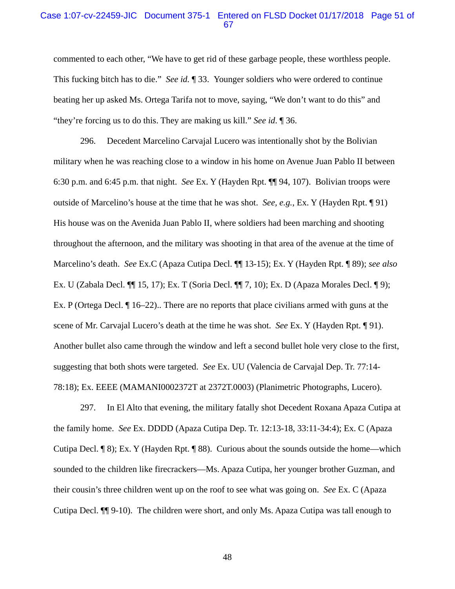#### Case 1:07-cv-22459-JIC Document 375-1 Entered on FLSD Docket 01/17/2018 Page 51 of 67

commented to each other, "We have to get rid of these garbage people, these worthless people. This fucking bitch has to die." *See id.* ¶ 33. Younger soldiers who were ordered to continue beating her up asked Ms. Ortega Tarifa not to move, saying, "We don't want to do this" and "they're forcing us to do this. They are making us kill." *See id*. ¶ 36.

296. Decedent Marcelino Carvajal Lucero was intentionally shot by the Bolivian military when he was reaching close to a window in his home on Avenue Juan Pablo II between 6:30 p.m. and 6:45 p.m. that night. *See* Ex. Y (Hayden Rpt. ¶¶ 94, 107). Bolivian troops were outside of Marcelino's house at the time that he was shot. *See, e.g.*, Ex. Y (Hayden Rpt. ¶ 91) His house was on the Avenida Juan Pablo II, where soldiers had been marching and shooting throughout the afternoon, and the military was shooting in that area of the avenue at the time of Marcelino's death. *See* Ex.C (Apaza Cutipa Decl. ¶¶ 13-15); Ex. Y (Hayden Rpt. ¶ 89); *see also* Ex. U (Zabala Decl. ¶¶ 15, 17); Ex. T (Soria Decl. ¶¶ 7, 10); Ex. D (Apaza Morales Decl. ¶ 9); Ex. P (Ortega Decl. ¶ 16–22).. There are no reports that place civilians armed with guns at the scene of Mr. Carvajal Lucero's death at the time he was shot. *See* Ex. Y (Hayden Rpt. ¶ 91). Another bullet also came through the window and left a second bullet hole very close to the first, suggesting that both shots were targeted. *See* Ex. UU (Valencia de Carvajal Dep. Tr. 77:14- 78:18); Ex. EEEE (MAMANI0002372T at 2372T.0003) (Planimetric Photographs, Lucero).

297. In El Alto that evening, the military fatally shot Decedent Roxana Apaza Cutipa at the family home. *See* Ex. DDDD (Apaza Cutipa Dep. Tr. 12:13-18, 33:11-34:4); Ex. C (Apaza Cutipa Decl. ¶ 8); Ex. Y (Hayden Rpt. ¶ 88). Curious about the sounds outside the home—which sounded to the children like firecrackers—Ms. Apaza Cutipa, her younger brother Guzman, and their cousin's three children went up on the roof to see what was going on. *See* Ex. C (Apaza Cutipa Decl. ¶¶ 9-10). The children were short, and only Ms. Apaza Cutipa was tall enough to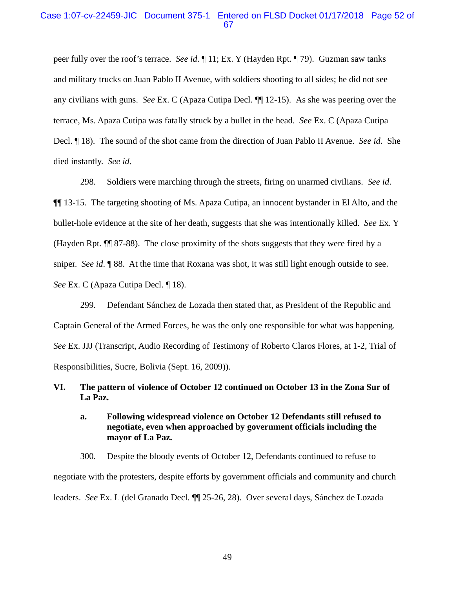### Case 1:07-cv-22459-JIC Document 375-1 Entered on FLSD Docket 01/17/2018 Page 52 of 67

peer fully over the roof's terrace. *See id*. ¶ 11; Ex. Y (Hayden Rpt. ¶ 79). Guzman saw tanks and military trucks on Juan Pablo II Avenue, with soldiers shooting to all sides; he did not see any civilians with guns. *See* Ex. C (Apaza Cutipa Decl. ¶¶ 12-15). As she was peering over the terrace, Ms. Apaza Cutipa was fatally struck by a bullet in the head. *See* Ex. C (Apaza Cutipa Decl. ¶ 18). The sound of the shot came from the direction of Juan Pablo II Avenue. *See id*. She died instantly. *See id*.

298. Soldiers were marching through the streets, firing on unarmed civilians. *See id*. ¶¶ 13-15. The targeting shooting of Ms. Apaza Cutipa, an innocent bystander in El Alto, and the bullet-hole evidence at the site of her death, suggests that she was intentionally killed. *See* Ex. Y (Hayden Rpt. ¶¶ 87-88). The close proximity of the shots suggests that they were fired by a sniper. *See id*. ¶ 88. At the time that Roxana was shot, it was still light enough outside to see. *See* Ex. C (Apaza Cutipa Decl. ¶ 18).

299. Defendant Sánchez de Lozada then stated that, as President of the Republic and Captain General of the Armed Forces, he was the only one responsible for what was happening. *See* Ex. JJJ (Transcript, Audio Recording of Testimony of Roberto Claros Flores, at 1-2, Trial of Responsibilities, Sucre, Bolivia (Sept. 16, 2009)).

### **VI. The pattern of violence of October 12 continued on October 13 in the Zona Sur of La Paz.**

### **a. Following widespread violence on October 12 Defendants still refused to negotiate, even when approached by government officials including the mayor of La Paz.**

300. Despite the bloody events of October 12, Defendants continued to refuse to negotiate with the protesters, despite efforts by government officials and community and church leaders. *See* Ex. L (del Granado Decl. ¶¶ 25-26, 28). Over several days, Sánchez de Lozada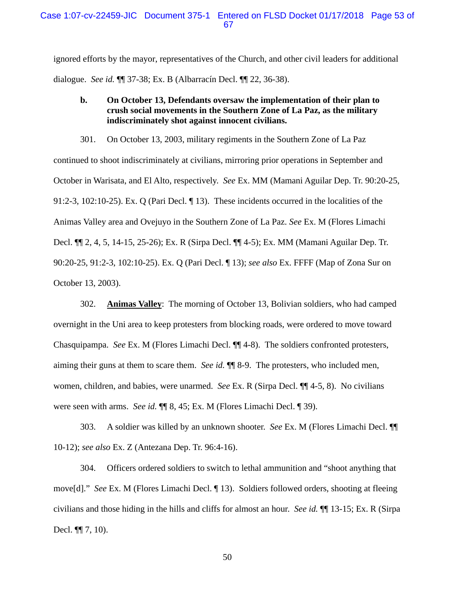ignored efforts by the mayor, representatives of the Church, and other civil leaders for additional dialogue. *See id.* ¶¶ 37-38; Ex. B (Albarracín Decl. ¶¶ 22, 36-38).

### **b. On October 13, Defendants oversaw the implementation of their plan to crush social movements in the Southern Zone of La Paz, as the military indiscriminately shot against innocent civilians.**

301. On October 13, 2003, military regiments in the Southern Zone of La Paz continued to shoot indiscriminately at civilians, mirroring prior operations in September and October in Warisata, and El Alto, respectively. *See* Ex. MM (Mamani Aguilar Dep. Tr. 90:20-25, 91:2-3, 102:10-25). Ex. Q (Pari Decl. ¶ 13). These incidents occurred in the localities of the Animas Valley area and Ovejuyo in the Southern Zone of La Paz. *See* Ex. M (Flores Limachi Decl. ¶¶ 2, 4, 5, 14-15, 25-26); Ex. R (Sirpa Decl. ¶¶ 4-5); Ex. MM (Mamani Aguilar Dep. Tr. 90:20-25, 91:2-3, 102:10-25). Ex. Q (Pari Decl. ¶ 13); *see also* Ex. FFFF (Map of Zona Sur on October 13, 2003).

302. **Animas Valley**: The morning of October 13, Bolivian soldiers, who had camped overnight in the Uni area to keep protesters from blocking roads, were ordered to move toward Chasquipampa. *See* Ex. M (Flores Limachi Decl. ¶¶ 4-8). The soldiers confronted protesters, aiming their guns at them to scare them. *See id.* ¶¶ 8-9. The protesters, who included men, women, children, and babies, were unarmed. *See* Ex. R (Sirpa Decl. ¶¶ 4-5, 8). No civilians were seen with arms. *See id.* ¶¶ 8, 45; Ex. M (Flores Limachi Decl. ¶ 39).

303. A soldier was killed by an unknown shooter. *See* Ex. M (Flores Limachi Decl. ¶¶ 10-12); *see also* Ex. Z (Antezana Dep. Tr. 96:4-16).

304. Officers ordered soldiers to switch to lethal ammunition and "shoot anything that move[d]." *See* Ex. M (Flores Limachi Decl. ¶ 13). Soldiers followed orders, shooting at fleeing civilians and those hiding in the hills and cliffs for almost an hour. *See id.* ¶¶ 13-15; Ex. R (Sirpa Decl. ¶¶ 7, 10).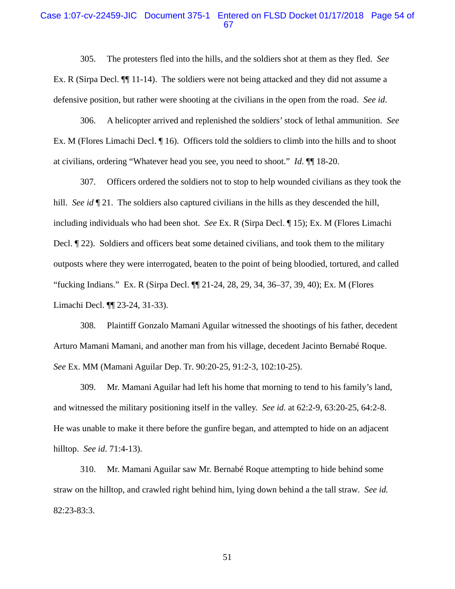#### Case 1:07-cv-22459-JIC Document 375-1 Entered on FLSD Docket 01/17/2018 Page 54 of 67

305. The protesters fled into the hills, and the soldiers shot at them as they fled. *See* Ex. R (Sirpa Decl. ¶¶ 11-14). The soldiers were not being attacked and they did not assume a defensive position, but rather were shooting at the civilians in the open from the road. *See id*.

306. A helicopter arrived and replenished the soldiers' stock of lethal ammunition. *See* Ex. M (Flores Limachi Decl. ¶ 16). Officers told the soldiers to climb into the hills and to shoot at civilians, ordering "Whatever head you see, you need to shoot." *Id*. ¶¶ 18-20.

307. Officers ordered the soldiers not to stop to help wounded civilians as they took the hill. *See id*  $\P$  21. The soldiers also captured civilians in the hills as they descended the hill, including individuals who had been shot. *See* Ex. R (Sirpa Decl. ¶ 15); Ex. M (Flores Limachi Decl. ¶ 22). Soldiers and officers beat some detained civilians, and took them to the military outposts where they were interrogated, beaten to the point of being bloodied, tortured, and called "fucking Indians." Ex. R (Sirpa Decl. ¶¶ 21-24, 28, 29, 34, 36–37, 39, 40); Ex. M (Flores Limachi Decl. ¶¶ 23-24, 31-33).

308. Plaintiff Gonzalo Mamani Aguilar witnessed the shootings of his father, decedent Arturo Mamani Mamani, and another man from his village, decedent Jacinto Bernabé Roque. *See* Ex. MM (Mamani Aguilar Dep. Tr. 90:20-25, 91:2-3, 102:10-25).

309. Mr. Mamani Aguilar had left his home that morning to tend to his family's land, and witnessed the military positioning itself in the valley. *See id.* at 62:2-9, 63:20-25, 64:2-8. He was unable to make it there before the gunfire began, and attempted to hide on an adjacent hilltop. *See id*. 71:4-13).

310. Mr. Mamani Aguilar saw Mr. Bernabé Roque attempting to hide behind some straw on the hilltop, and crawled right behind him, lying down behind a the tall straw. *See id.*  82:23-83:3.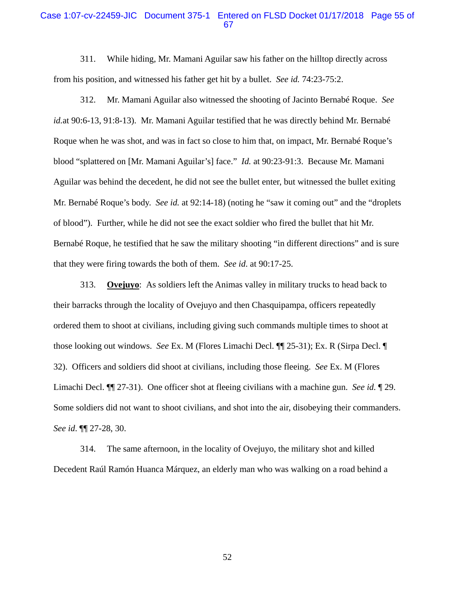### Case 1:07-cv-22459-JIC Document 375-1 Entered on FLSD Docket 01/17/2018 Page 55 of 67

311. While hiding, Mr. Mamani Aguilar saw his father on the hilltop directly across from his position, and witnessed his father get hit by a bullet. *See id.* 74:23-75:2.

312. Mr. Mamani Aguilar also witnessed the shooting of Jacinto Bernabé Roque. *See id.*at 90:6-13, 91:8-13). Mr. Mamani Aguilar testified that he was directly behind Mr. Bernabé Roque when he was shot, and was in fact so close to him that, on impact, Mr. Bernabé Roque's blood "splattered on [Mr. Mamani Aguilar's] face." *Id.* at 90:23-91:3. Because Mr. Mamani Aguilar was behind the decedent, he did not see the bullet enter, but witnessed the bullet exiting Mr. Bernabé Roque's body. *See id.* at 92:14-18) (noting he "saw it coming out" and the "droplets of blood"). Further, while he did not see the exact soldier who fired the bullet that hit Mr. Bernabé Roque, he testified that he saw the military shooting "in different directions" and is sure that they were firing towards the both of them. *See id*. at 90:17-25.

313. **Ovejuyo**: As soldiers left the Animas valley in military trucks to head back to their barracks through the locality of Ovejuyo and then Chasquipampa, officers repeatedly ordered them to shoot at civilians, including giving such commands multiple times to shoot at those looking out windows. *See* Ex. M (Flores Limachi Decl. ¶¶ 25-31); Ex. R (Sirpa Decl. ¶ 32). Officers and soldiers did shoot at civilians, including those fleeing. *See* Ex. M (Flores Limachi Decl. ¶¶ 27-31). One officer shot at fleeing civilians with a machine gun. *See id.* ¶ 29. Some soldiers did not want to shoot civilians, and shot into the air, disobeying their commanders. *See id*. ¶¶ 27-28, 30.

314. The same afternoon, in the locality of Ovejuyo, the military shot and killed Decedent Raúl Ramón Huanca Márquez, an elderly man who was walking on a road behind a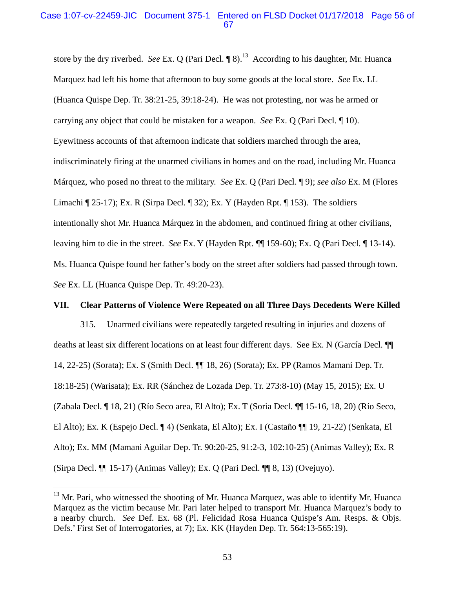### Case 1:07-cv-22459-JIC Document 375-1 Entered on FLSD Docket 01/17/2018 Page 56 of 67

store by the dry riverbed. *See* Ex. Q (Pari Decl. ¶ 8).<sup>13</sup> According to his daughter, Mr. Huanca Marquez had left his home that afternoon to buy some goods at the local store. *See* Ex. LL (Huanca Quispe Dep. Tr. 38:21-25, 39:18-24). He was not protesting, nor was he armed or carrying any object that could be mistaken for a weapon. *See* Ex. Q (Pari Decl. ¶ 10). Eyewitness accounts of that afternoon indicate that soldiers marched through the area, indiscriminately firing at the unarmed civilians in homes and on the road, including Mr. Huanca Márquez, who posed no threat to the military. *See* Ex. Q (Pari Decl. ¶ 9); *see also* Ex. M (Flores Limachi ¶ 25-17); Ex. R (Sirpa Decl. ¶ 32); Ex. Y (Hayden Rpt. ¶ 153). The soldiers intentionally shot Mr. Huanca Márquez in the abdomen, and continued firing at other civilians, leaving him to die in the street. *See* Ex. Y (Hayden Rpt. ¶¶ 159-60); Ex. Q (Pari Decl. ¶ 13-14). Ms. Huanca Quispe found her father's body on the street after soldiers had passed through town. *See* Ex. LL (Huanca Quispe Dep. Tr. 49:20-23).

#### **VII. Clear Patterns of Violence Were Repeated on all Three Days Decedents Were Killed**

315. Unarmed civilians were repeatedly targeted resulting in injuries and dozens of deaths at least six different locations on at least four different days. See Ex. N (García Decl. ¶¶ 14, 22-25) (Sorata); Ex. S (Smith Decl. ¶¶ 18, 26) (Sorata); Ex. PP (Ramos Mamani Dep. Tr. 18:18-25) (Warisata); Ex. RR (Sánchez de Lozada Dep. Tr. 273:8-10) (May 15, 2015); Ex. U (Zabala Decl. ¶ 18, 21) (Río Seco area, El Alto); Ex. T (Soria Decl. ¶¶ 15-16, 18, 20) (Río Seco, El Alto); Ex. K (Espejo Decl. ¶ 4) (Senkata, El Alto); Ex. I (Castaño ¶¶ 19, 21-22) (Senkata, El Alto); Ex. MM (Mamani Aguilar Dep. Tr. 90:20-25, 91:2-3, 102:10-25) (Animas Valley); Ex. R (Sirpa Decl. ¶¶ 15-17) (Animas Valley); Ex. Q (Pari Decl. ¶¶ 8, 13) (Ovejuyo).

 $13$  Mr. Pari, who witnessed the shooting of Mr. Huanca Marquez, was able to identify Mr. Huanca Marquez as the victim because Mr. Pari later helped to transport Mr. Huanca Marquez's body to a nearby church. *See* Def. Ex. 68 (Pl. Felicidad Rosa Huanca Quispe's Am. Resps. & Objs. Defs.' First Set of Interrogatories, at 7); Ex. KK (Hayden Dep. Tr. 564:13-565:19).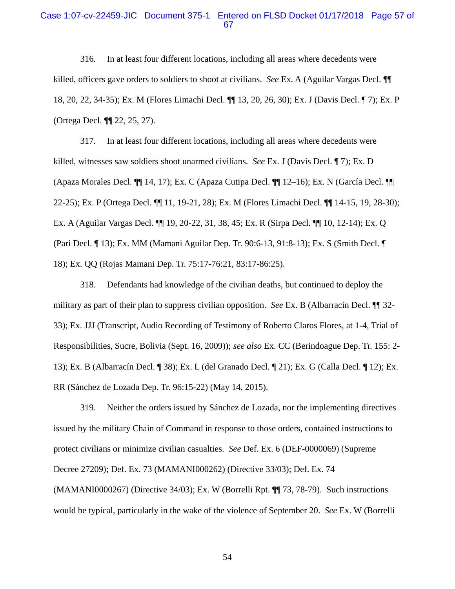#### Case 1:07-cv-22459-JIC Document 375-1 Entered on FLSD Docket 01/17/2018 Page 57 of 67

316. In at least four different locations, including all areas where decedents were killed, officers gave orders to soldiers to shoot at civilians. *See* Ex. A (Aguilar Vargas Decl. ¶¶ 18, 20, 22, 34-35); Ex. M (Flores Limachi Decl. ¶¶ 13, 20, 26, 30); Ex. J (Davis Decl. ¶ 7); Ex. P (Ortega Decl. ¶¶ 22, 25, 27).

317. In at least four different locations, including all areas where decedents were killed, witnesses saw soldiers shoot unarmed civilians. *See* Ex. J (Davis Decl. ¶ 7); Ex. D (Apaza Morales Decl. ¶¶ 14, 17); Ex. C (Apaza Cutipa Decl. ¶¶ 12–16); Ex. N (García Decl. ¶¶ 22-25); Ex. P (Ortega Decl. ¶¶ 11, 19-21, 28); Ex. M (Flores Limachi Decl. ¶¶ 14-15, 19, 28-30); Ex. A (Aguilar Vargas Decl. ¶¶ 19, 20-22, 31, 38, 45; Ex. R (Sirpa Decl. ¶¶ 10, 12-14); Ex. Q (Pari Decl. ¶ 13); Ex. MM (Mamani Aguilar Dep. Tr. 90:6-13, 91:8-13); Ex. S (Smith Decl. ¶ 18); Ex. QQ (Rojas Mamani Dep. Tr. 75:17-76:21, 83:17-86:25).

318. Defendants had knowledge of the civilian deaths, but continued to deploy the military as part of their plan to suppress civilian opposition. *See* Ex. B (Albarracín Decl. ¶¶ 32- 33); Ex. JJJ (Transcript, Audio Recording of Testimony of Roberto Claros Flores, at 1-4, Trial of Responsibilities, Sucre, Bolivia (Sept. 16, 2009)); *see also* Ex. CC (Berindoague Dep. Tr. 155: 2- 13); Ex. B (Albarracín Decl. ¶ 38); Ex. L (del Granado Decl. ¶ 21); Ex. G (Calla Decl. ¶ 12); Ex. RR (Sánchez de Lozada Dep. Tr. 96:15-22) (May 14, 2015).

319. Neither the orders issued by Sánchez de Lozada, nor the implementing directives issued by the military Chain of Command in response to those orders, contained instructions to protect civilians or minimize civilian casualties. *See* Def. Ex. 6 (DEF-0000069) (Supreme Decree 27209); Def. Ex. 73 (MAMANI000262) (Directive 33/03); Def. Ex. 74 (MAMANI0000267) (Directive 34/03); Ex. W (Borrelli Rpt. ¶¶ 73, 78-79). Such instructions would be typical, particularly in the wake of the violence of September 20. *See* Ex. W (Borrelli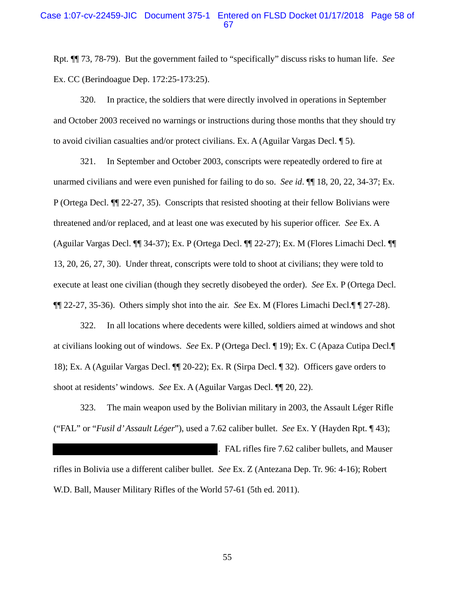### Case 1:07-cv-22459-JIC Document 375-1 Entered on FLSD Docket 01/17/2018 Page 58 of 67

Rpt. ¶¶ 73, 78-79). But the government failed to "specifically" discuss risks to human life. *See*  Ex. CC (Berindoague Dep. 172:25-173:25).

320. In practice, the soldiers that were directly involved in operations in September and October 2003 received no warnings or instructions during those months that they should try to avoid civilian casualties and/or protect civilians. Ex. A (Aguilar Vargas Decl. ¶ 5).

321. In September and October 2003, conscripts were repeatedly ordered to fire at unarmed civilians and were even punished for failing to do so. *See id*. ¶¶ 18, 20, 22, 34-37; Ex. P (Ortega Decl. ¶¶ 22-27, 35). Conscripts that resisted shooting at their fellow Bolivians were threatened and/or replaced, and at least one was executed by his superior officer. *See* Ex. A (Aguilar Vargas Decl. ¶¶ 34-37); Ex. P (Ortega Decl. ¶¶ 22-27); Ex. M (Flores Limachi Decl. ¶¶ 13, 20, 26, 27, 30). Under threat, conscripts were told to shoot at civilians; they were told to execute at least one civilian (though they secretly disobeyed the order). *See* Ex. P (Ortega Decl. ¶¶ 22-27, 35-36). Others simply shot into the air. *See* Ex. M (Flores Limachi Decl.¶ ¶ 27-28).

322. In all locations where decedents were killed, soldiers aimed at windows and shot at civilians looking out of windows. *See* Ex. P (Ortega Decl. ¶ 19); Ex. C (Apaza Cutipa Decl.¶ 18); Ex. A (Aguilar Vargas Decl. ¶¶ 20-22); Ex. R (Sirpa Decl. ¶ 32). Officers gave orders to shoot at residents' windows. *See* Ex. A (Aguilar Vargas Decl. ¶¶ 20, 22).

323. The main weapon used by the Bolivian military in 2003, the Assault Léger Rifle ("FAL" or "*Fusil d' Assault Léger*"), used a 7.62 caliber bullet. *See* Ex. Y (Hayden Rpt. ¶ 43);

. FAL rifles fire 7.62 caliber bullets, and Mauser rifles in Bolivia use a different caliber bullet. *See* Ex. Z (Antezana Dep. Tr. 96: 4-16); Robert W.D. Ball, Mauser Military Rifles of the World 57-61 (5th ed. 2011).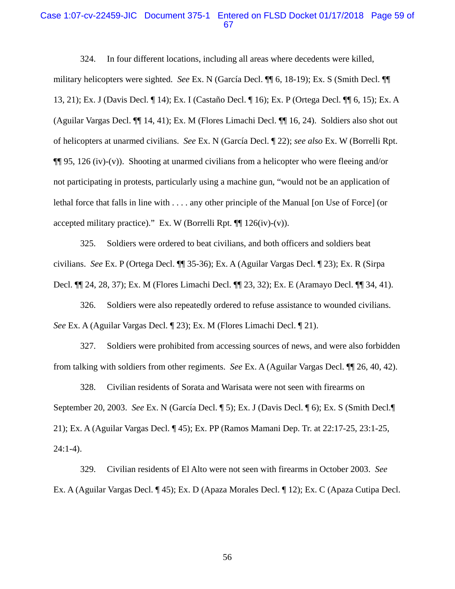#### Case 1:07-cv-22459-JIC Document 375-1 Entered on FLSD Docket 01/17/2018 Page 59 of 67

324. In four different locations, including all areas where decedents were killed, military helicopters were sighted. *See* Ex. N (García Decl. ¶¶ 6, 18-19); Ex. S (Smith Decl. ¶¶ 13, 21); Ex. J (Davis Decl. ¶ 14); Ex. I (Castaño Decl. ¶ 16); Ex. P (Ortega Decl. ¶¶ 6, 15); Ex. A (Aguilar Vargas Decl. ¶¶ 14, 41); Ex. M (Flores Limachi Decl. ¶¶ 16, 24). Soldiers also shot out of helicopters at unarmed civilians. *See* Ex. N (García Decl. ¶ 22); *see also* Ex. W (Borrelli Rpt.  $\P$ [95, 126 (iv)-(v)). Shooting at unarmed civilians from a helicopter who were fleeing and/or not participating in protests, particularly using a machine gun, "would not be an application of lethal force that falls in line with . . . . any other principle of the Manual [on Use of Force] (or accepted military practice)." Ex. W (Borrelli Rpt.  $\P\P$  126(iv)-(v)).

325. Soldiers were ordered to beat civilians, and both officers and soldiers beat civilians. *See* Ex. P (Ortega Decl. ¶¶ 35-36); Ex. A (Aguilar Vargas Decl. ¶ 23); Ex. R (Sirpa Decl. ¶¶ 24, 28, 37); Ex. M (Flores Limachi Decl. ¶¶ 23, 32); Ex. E (Aramayo Decl. ¶¶ 34, 41).

326. Soldiers were also repeatedly ordered to refuse assistance to wounded civilians. *See* Ex. A (Aguilar Vargas Decl. ¶ 23); Ex. M (Flores Limachi Decl. ¶ 21).

327. Soldiers were prohibited from accessing sources of news, and were also forbidden from talking with soldiers from other regiments. *See* Ex. A (Aguilar Vargas Decl. ¶¶ 26, 40, 42).

328. Civilian residents of Sorata and Warisata were not seen with firearms on September 20, 2003. *See* Ex. N (García Decl. ¶ 5); Ex. J (Davis Decl. ¶ 6); Ex. S (Smith Decl.¶ 21); Ex. A (Aguilar Vargas Decl. ¶ 45); Ex. PP (Ramos Mamani Dep. Tr. at 22:17-25, 23:1-25, 24:1-4).

329. Civilian residents of El Alto were not seen with firearms in October 2003. *See* Ex. A (Aguilar Vargas Decl. ¶ 45); Ex. D (Apaza Morales Decl. ¶ 12); Ex. C (Apaza Cutipa Decl.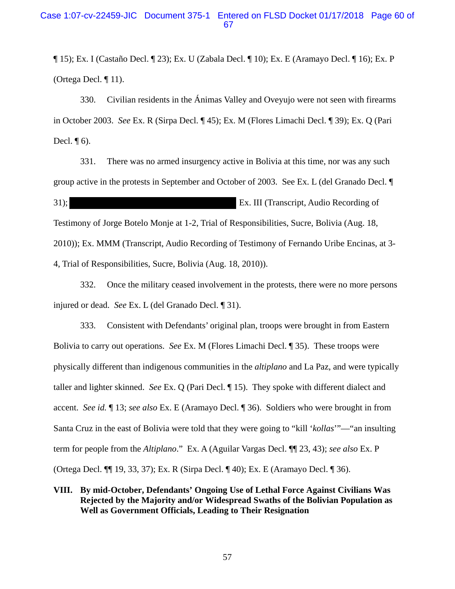¶ 15); Ex. I (Castaño Decl. ¶ 23); Ex. U (Zabala Decl. ¶ 10); Ex. E (Aramayo Decl. ¶ 16); Ex. P (Ortega Decl. ¶ 11).

330. Civilian residents in the Ánimas Valley and Oveyujo were not seen with firearms in October 2003. *See* Ex. R (Sirpa Decl. ¶ 45); Ex. M (Flores Limachi Decl. ¶ 39); Ex. Q (Pari Decl.  $\P$  6).

331. There was no armed insurgency active in Bolivia at this time, nor was any such group active in the protests in September and October of 2003. See Ex. L (del Granado Decl. ¶ 31); Ex. III (Transcript, Audio Recording of Testimony of Jorge Botelo Monje at 1-2, Trial of Responsibilities, Sucre, Bolivia (Aug. 18, 2010)); Ex. MMM (Transcript, Audio Recording of Testimony of Fernando Uribe Encinas, at 3- 4, Trial of Responsibilities, Sucre, Bolivia (Aug. 18, 2010)).

332. Once the military ceased involvement in the protests, there were no more persons injured or dead. *See* Ex. L (del Granado Decl. ¶ 31).

333. Consistent with Defendants' original plan, troops were brought in from Eastern Bolivia to carry out operations. *See* Ex. M (Flores Limachi Decl. ¶ 35). These troops were physically different than indigenous communities in the *altiplano* and La Paz, and were typically taller and lighter skinned. *See* Ex. Q (Pari Decl. ¶ 15). They spoke with different dialect and accent. *See id.* ¶ 13; *see also* Ex. E (Aramayo Decl. ¶ 36). Soldiers who were brought in from Santa Cruz in the east of Bolivia were told that they were going to "kill '*kollas*'"—"an insulting term for people from the *Altiplano*." Ex. A (Aguilar Vargas Decl. ¶¶ 23, 43); *see also* Ex. P (Ortega Decl. ¶¶ 19, 33, 37); Ex. R (Sirpa Decl. ¶ 40); Ex. E (Aramayo Decl. ¶ 36).

### **VIII. By mid-October, Defendants' Ongoing Use of Lethal Force Against Civilians Was Rejected by the Majority and/or Widespread Swaths of the Bolivian Population as Well as Government Officials, Leading to Their Resignation**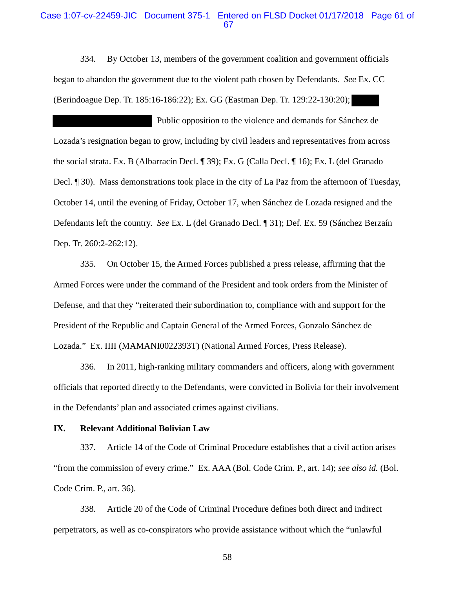#### Case 1:07-cv-22459-JIC Document 375-1 Entered on FLSD Docket 01/17/2018 Page 61 of 67

334. By October 13, members of the government coalition and government officials began to abandon the government due to the violent path chosen by Defendants. *See* Ex. CC (Berindoague Dep. Tr. 185:16-186:22); Ex. GG (Eastman Dep. Tr. 129:22-130:20);

 Public opposition to the violence and demands for Sánchez de Lozada's resignation began to grow, including by civil leaders and representatives from across the social strata. Ex. B (Albarracín Decl. ¶ 39); Ex. G (Calla Decl. ¶ 16); Ex. L (del Granado Decl. ¶ 30). Mass demonstrations took place in the city of La Paz from the afternoon of Tuesday, October 14, until the evening of Friday, October 17, when Sánchez de Lozada resigned and the Defendants left the country. *See* Ex. L (del Granado Decl. ¶ 31); Def. Ex. 59 (Sánchez Berzaín Dep. Tr. 260:2-262:12).

335. On October 15, the Armed Forces published a press release, affirming that the Armed Forces were under the command of the President and took orders from the Minister of Defense, and that they "reiterated their subordination to, compliance with and support for the President of the Republic and Captain General of the Armed Forces, Gonzalo Sánchez de Lozada." Ex. IIII (MAMANI0022393T) (National Armed Forces, Press Release).

336. In 2011, high-ranking military commanders and officers, along with government officials that reported directly to the Defendants, were convicted in Bolivia for their involvement in the Defendants' plan and associated crimes against civilians.

#### **IX. Relevant Additional Bolivian Law**

337. Article 14 of the Code of Criminal Procedure establishes that a civil action arises "from the commission of every crime." Ex. AAA (Bol. Code Crim. P., art. 14); *see also id.* (Bol. Code Crim. P., art. 36).

338. Article 20 of the Code of Criminal Procedure defines both direct and indirect perpetrators, as well as co-conspirators who provide assistance without which the "unlawful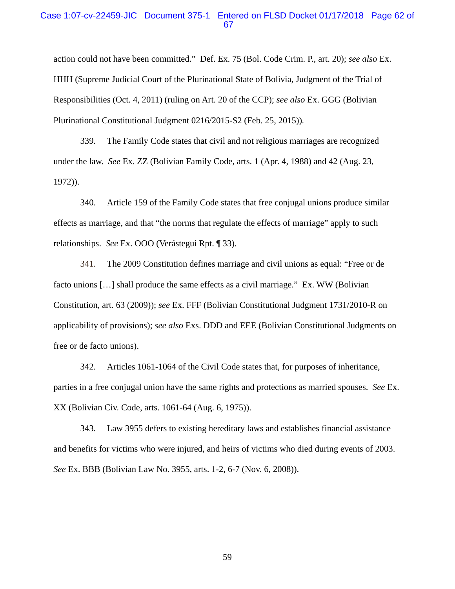#### Case 1:07-cv-22459-JIC Document 375-1 Entered on FLSD Docket 01/17/2018 Page 62 of 67

action could not have been committed." Def. Ex. 75 (Bol. Code Crim. P., art. 20); *see also* Ex. HHH (Supreme Judicial Court of the Plurinational State of Bolivia, Judgment of the Trial of Responsibilities (Oct. 4, 2011) (ruling on Art. 20 of the CCP); *see also* Ex. GGG (Bolivian Plurinational Constitutional Judgment 0216/2015-S2 (Feb. 25, 2015))*.*

339. The Family Code states that civil and not religious marriages are recognized under the law. *See* Ex. ZZ (Bolivian Family Code, arts. 1 (Apr. 4, 1988) and 42 (Aug. 23, 1972)).

340. Article 159 of the Family Code states that free conjugal unions produce similar effects as marriage, and that "the norms that regulate the effects of marriage" apply to such relationships. *See* Ex. OOO (Verástegui Rpt. ¶ 33).

341. The 2009 Constitution defines marriage and civil unions as equal: "Free or de facto unions […] shall produce the same effects as a civil marriage." Ex. WW (Bolivian Constitution, art. 63 (2009)); *see* Ex. FFF (Bolivian Constitutional Judgment 1731/2010-R on applicability of provisions); *see also* Exs. DDD and EEE (Bolivian Constitutional Judgments on free or de facto unions).

342. Articles 1061-1064 of the Civil Code states that, for purposes of inheritance, parties in a free conjugal union have the same rights and protections as married spouses. *See* Ex. XX (Bolivian Civ. Code, arts. 1061-64 (Aug. 6, 1975)).

343. Law 3955 defers to existing hereditary laws and establishes financial assistance and benefits for victims who were injured, and heirs of victims who died during events of 2003. *See* Ex. BBB (Bolivian Law No. 3955, arts. 1-2, 6-7 (Nov. 6, 2008)).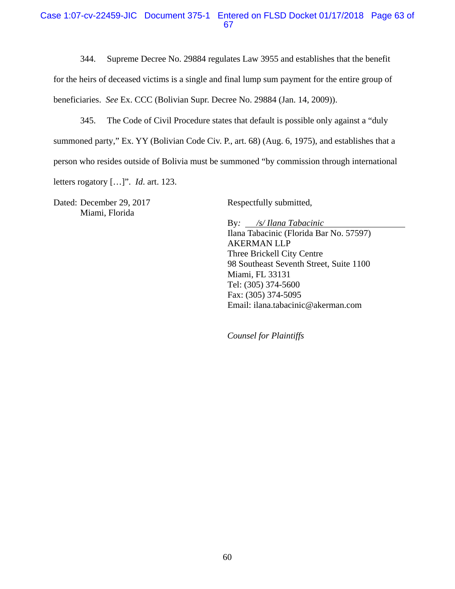### Case 1:07-cv-22459-JIC Document 375-1 Entered on FLSD Docket 01/17/2018 Page 63 of 67

344. Supreme Decree No. 29884 regulates Law 3955 and establishes that the benefit

for the heirs of deceased victims is a single and final lump sum payment for the entire group of

beneficiaries. *See* Ex. CCC (Bolivian Supr. Decree No. 29884 (Jan. 14, 2009)).

345. The Code of Civil Procedure states that default is possible only against a "duly summoned party," Ex. YY (Bolivian Code Civ. P., art. 68) (Aug. 6, 1975), and establishes that a person who resides outside of Bolivia must be summoned "by commission through international letters rogatory […]". *Id*. art. 123.

Dated: December 29, 2017 Miami, Florida

Respectfully submitted,

By*: /s/ Ilana Tabacinic*  Ilana Tabacinic (Florida Bar No. 57597) AKERMAN LLP Three Brickell City Centre 98 Southeast Seventh Street, Suite 1100 Miami, FL 33131 Tel: (305) 374-5600 Fax: (305) 374-5095 Email: ilana.tabacinic@akerman.com

*Counsel for Plaintiffs*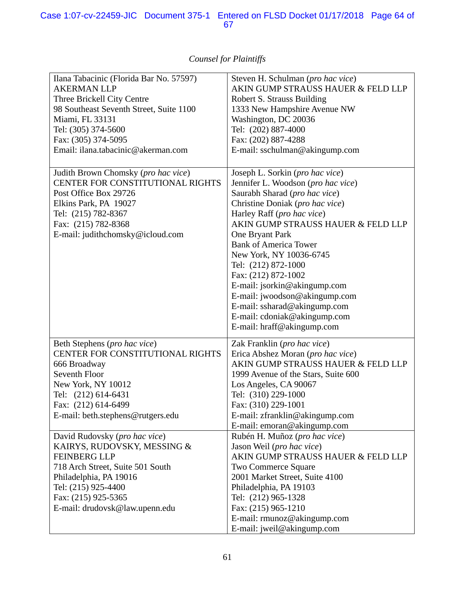| Ilana Tabacinic (Florida Bar No. 57597)<br><b>AKERMAN LLP</b><br>Three Brickell City Centre<br>98 Southeast Seventh Street, Suite 1100<br>Miami, FL 33131<br>Tel: (305) 374-5600<br>Fax: (305) 374-5095<br>Email: ilana.tabacinic@akerman.com | Steven H. Schulman (pro hac vice)<br>AKIN GUMP STRAUSS HAUER & FELD LLP<br>Robert S. Strauss Building<br>1333 New Hampshire Avenue NW<br>Washington, DC 20036<br>Tel: (202) 887-4000<br>Fax: (202) 887-4288<br>E-mail: sschulman@akingump.com                                                                                                                                                                                                                                                            |
|-----------------------------------------------------------------------------------------------------------------------------------------------------------------------------------------------------------------------------------------------|----------------------------------------------------------------------------------------------------------------------------------------------------------------------------------------------------------------------------------------------------------------------------------------------------------------------------------------------------------------------------------------------------------------------------------------------------------------------------------------------------------|
| Judith Brown Chomsky (pro hac vice)<br>CENTER FOR CONSTITUTIONAL RIGHTS<br>Post Office Box 29726<br>Elkins Park, PA 19027<br>Tel: (215) 782-8367<br>Fax: (215) 782-8368<br>E-mail: judithchomsky@icloud.com                                   | Joseph L. Sorkin (pro hac vice)<br>Jennifer L. Woodson (pro hac vice)<br>Saurabh Sharad (pro hac vice)<br>Christine Doniak (pro hac vice)<br>Harley Raff (pro hac vice)<br>AKIN GUMP STRAUSS HAUER & FELD LLP<br>One Bryant Park<br><b>Bank of America Tower</b><br>New York, NY 10036-6745<br>Tel: (212) 872-1000<br>Fax: (212) 872-1002<br>E-mail: jsorkin@akingump.com<br>E-mail: jwoodson@akingump.com<br>E-mail: ssharad@akingump.com<br>E-mail: cdoniak@akingump.com<br>E-mail: hraff@akingump.com |
| Beth Stephens (pro hac vice)<br>CENTER FOR CONSTITUTIONAL RIGHTS<br>666 Broadway<br>Seventh Floor<br>New York, NY 10012<br>Tel: (212) 614-6431<br>Fax: (212) 614-6499<br>E-mail: beth.stephens@rutgers.edu                                    | Zak Franklin (pro hac vice)<br>Erica Abshez Moran (pro hac vice)<br>AKIN GUMP STRAUSS HAUER & FELD LLP<br>1999 Avenue of the Stars, Suite 600<br>Los Angeles, CA 90067<br>Tel: (310) 229-1000<br>Fax: (310) 229-1001<br>E-mail: zfranklin@akingump.com<br>E-mail: emoran@akingump.com                                                                                                                                                                                                                    |
| David Rudovsky (pro hac vice)<br>KAIRYS, RUDOVSKY, MESSING &<br><b>FEINBERG LLP</b><br>718 Arch Street, Suite 501 South<br>Philadelphia, PA 19016<br>Tel: (215) 925-4400<br>Fax: (215) 925-5365<br>E-mail: drudovsk@law.upenn.edu             | Rubén H. Muñoz (pro hac vice)<br>Jason Weil (pro hac vice)<br>AKIN GUMP STRAUSS HAUER & FELD LLP<br><b>Two Commerce Square</b><br>2001 Market Street, Suite 4100<br>Philadelphia, PA 19103<br>Tel: (212) 965-1328<br>Fax: (215) 965-1210<br>E-mail: rmunoz@akingump.com<br>E-mail: jweil@akingump.com                                                                                                                                                                                                    |

# *Counsel for Plaintiffs*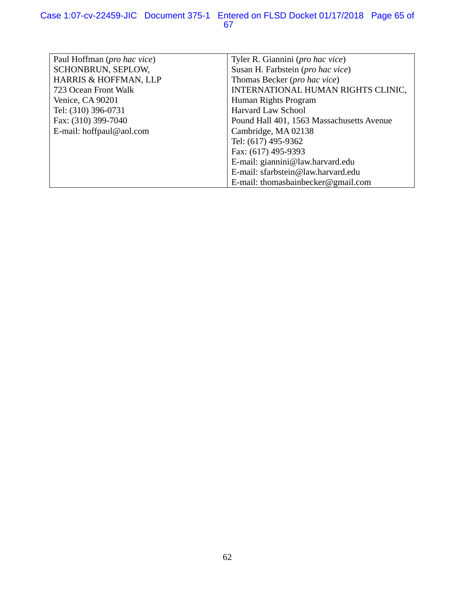| Paul Hoffman ( <i>pro hac vice</i> ) | Tyler R. Giannini ( <i>pro hac vice</i> ) |
|--------------------------------------|-------------------------------------------|
| SCHONBRUN, SEPLOW,                   | Susan H. Farbstein (pro hac vice)         |
| HARRIS & HOFFMAN, LLP                | Thomas Becker (pro hac vice)              |
| 723 Ocean Front Walk                 | INTERNATIONAL HUMAN RIGHTS CLINIC,        |
| Venice, CA 90201                     | Human Rights Program                      |
| Tel: (310) 396-0731                  | <b>Harvard Law School</b>                 |
| Fax: (310) 399-7040                  | Pound Hall 401, 1563 Massachusetts Avenue |
| E-mail: hoffpaul@aol.com             | Cambridge, MA 02138                       |
|                                      | Tel: (617) 495-9362                       |
|                                      | Fax: (617) 495-9393                       |
|                                      | E-mail: giannini@law.harvard.edu          |
|                                      | E-mail: sfarbstein@law.harvard.edu        |
|                                      | E-mail: thomasbainbecker@gmail.com        |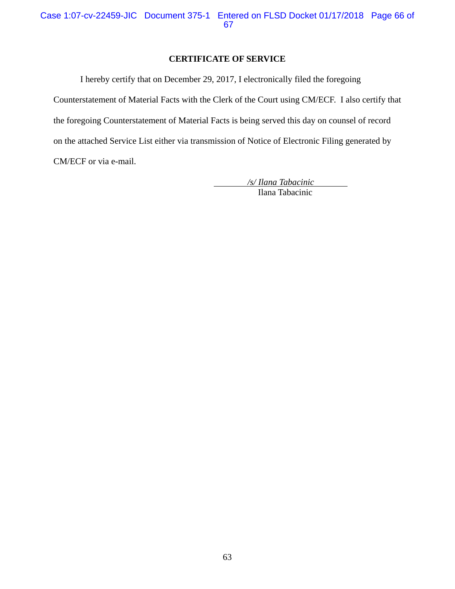# **CERTIFICATE OF SERVICE**

I hereby certify that on December 29, 2017, I electronically filed the foregoing Counterstatement of Material Facts with the Clerk of the Court using CM/ECF. I also certify that the foregoing Counterstatement of Material Facts is being served this day on counsel of record on the attached Service List either via transmission of Notice of Electronic Filing generated by CM/ECF or via e-mail.

> */s/ Ilana Tabacinic*  Ilana Tabacinic